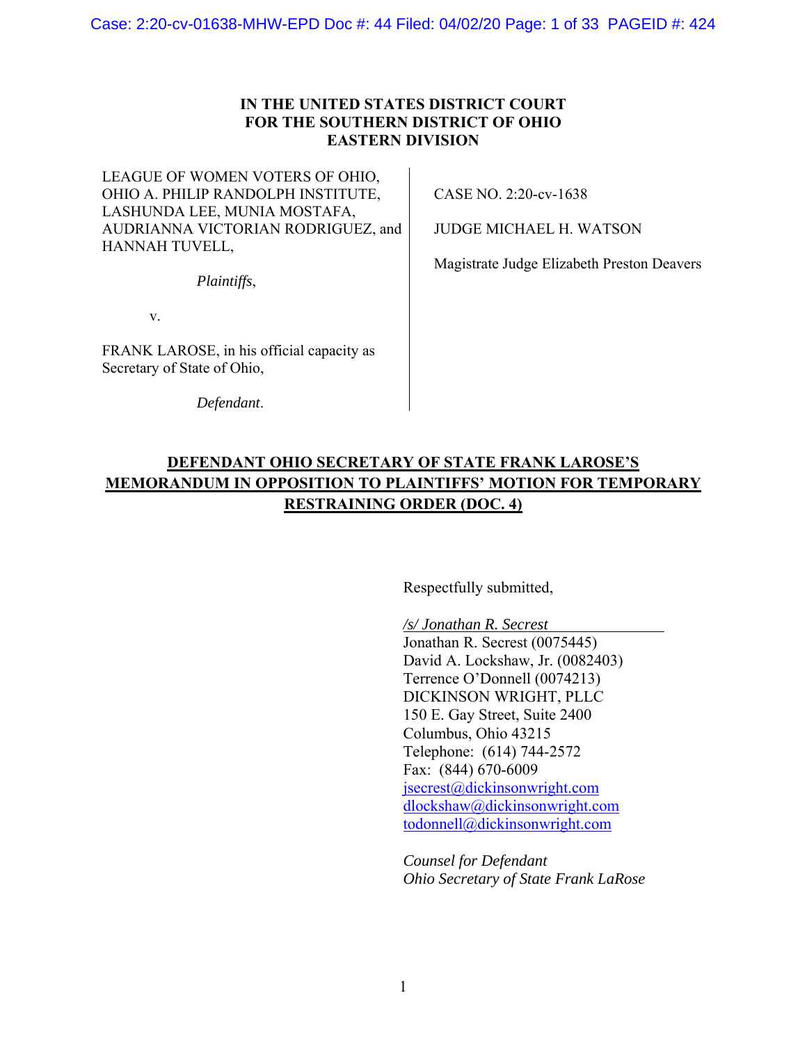## **IN THE UNITED STATES DISTRICT COURT FOR THE SOUTHERN DISTRICT OF OHIO EASTERN DIVISION**

LEAGUE OF WOMEN VOTERS OF OHIO, OHIO A. PHILIP RANDOLPH INSTITUTE, LASHUNDA LEE, MUNIA MOSTAFA, AUDRIANNA VICTORIAN RODRIGUEZ, and HANNAH TUVELL,

*Plaintiffs*,

v.

FRANK LAROSE, in his official capacity as Secretary of State of Ohio,

*Defendant*.

CASE NO. 2:20-cv-1638

JUDGE MICHAEL H. WATSON

Magistrate Judge Elizabeth Preston Deavers

# **DEFENDANT OHIO SECRETARY OF STATE FRANK LAROSE'S MEMORANDUM IN OPPOSITION TO PLAINTIFFS' MOTION FOR TEMPORARY RESTRAINING ORDER (DOC. 4)**

Respectfully submitted,

*/s/ Jonathan R. Secrest* 

Jonathan R. Secrest (0075445) David A. Lockshaw, Jr. (0082403) Terrence O'Donnell (0074213) DICKINSON WRIGHT, PLLC 150 E. Gay Street, Suite 2400 Columbus, Ohio 43215 Telephone: (614) 744-2572 Fax: (844) 670-6009 jsecrest@dickinsonwright.com dlockshaw@dickinsonwright.com todonnell@dickinsonwright.com

*Counsel for Defendant Ohio Secretary of State Frank LaRose*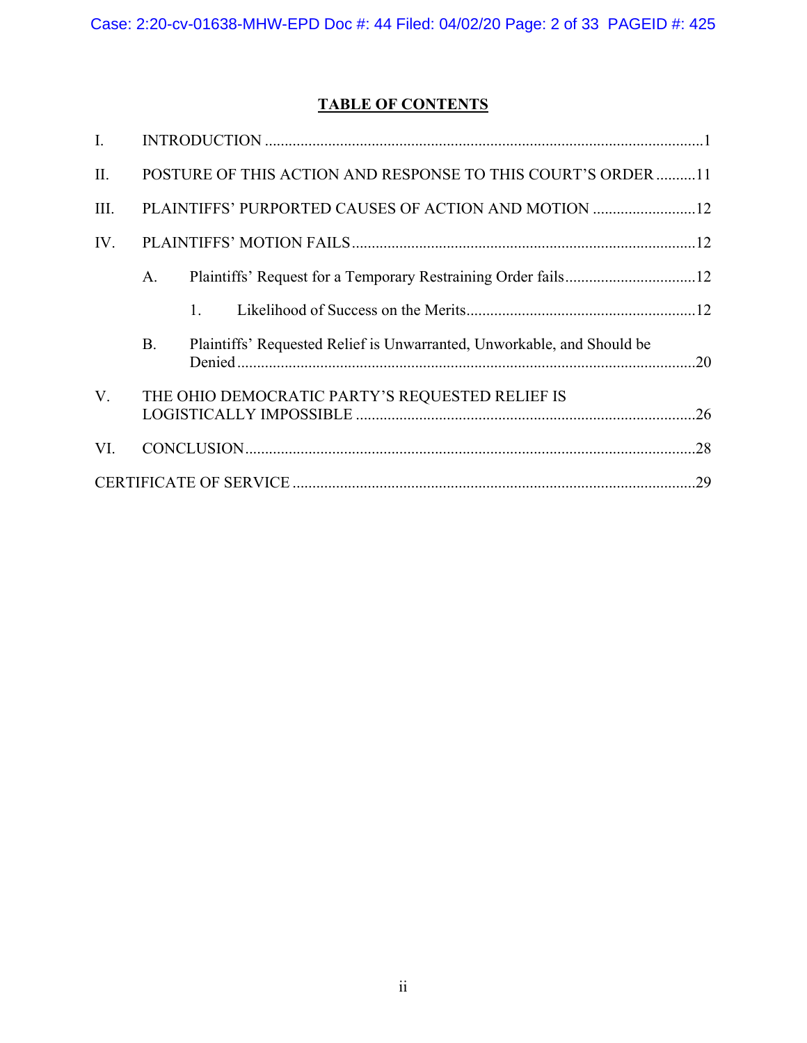# **TABLE OF CONTENTS**

| $\mathbf{I}$ . |                                                              |  |                                                                        |  |  |  |
|----------------|--------------------------------------------------------------|--|------------------------------------------------------------------------|--|--|--|
| II.            | POSTURE OF THIS ACTION AND RESPONSE TO THIS COURT'S ORDER 11 |  |                                                                        |  |  |  |
| III.           | PLAINTIFFS' PURPORTED CAUSES OF ACTION AND MOTION 12         |  |                                                                        |  |  |  |
| IV.            |                                                              |  |                                                                        |  |  |  |
|                | А.                                                           |  |                                                                        |  |  |  |
|                |                                                              |  |                                                                        |  |  |  |
|                | <b>B.</b>                                                    |  | Plaintiffs' Requested Relief is Unwarranted, Unworkable, and Should be |  |  |  |
| V.             | THE OHIO DEMOCRATIC PARTY'S REQUESTED RELIEF IS              |  |                                                                        |  |  |  |
| VI.            |                                                              |  |                                                                        |  |  |  |
|                |                                                              |  |                                                                        |  |  |  |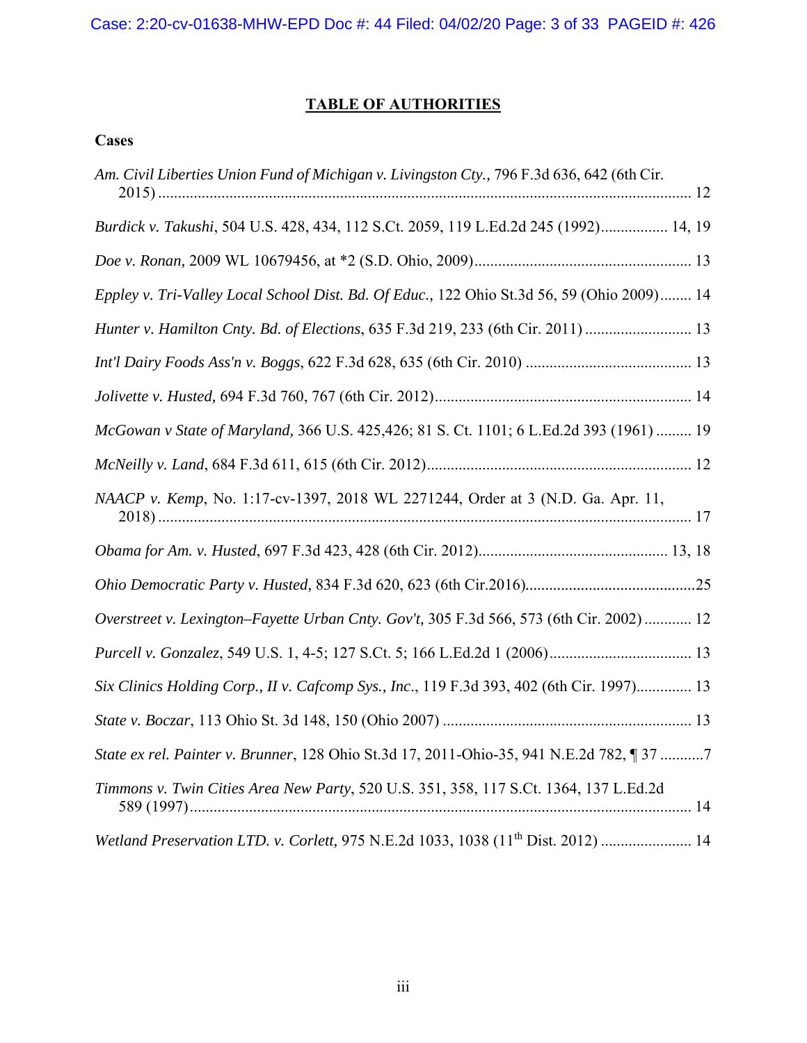# **TABLE OF AUTHORITIES**

# **Cases**

| Am. Civil Liberties Union Fund of Michigan v. Livingston Cty., 796 F.3d 636, 642 (6th Cir.    |
|-----------------------------------------------------------------------------------------------|
| Burdick v. Takushi, 504 U.S. 428, 434, 112 S.Ct. 2059, 119 L.Ed.2d 245 (1992) 14, 19          |
|                                                                                               |
| Eppley v. Tri-Valley Local School Dist. Bd. Of Educ., 122 Ohio St.3d 56, 59 (Ohio 2009) 14    |
| Hunter v. Hamilton Cnty. Bd. of Elections, 635 F.3d 219, 233 (6th Cir. 2011)  13              |
|                                                                                               |
|                                                                                               |
| McGowan v State of Maryland, 366 U.S. 425,426; 81 S. Ct. 1101; 6 L.Ed.2d 393 (1961)  19       |
|                                                                                               |
| NAACP v. Kemp, No. 1:17-cv-1397, 2018 WL 2271244, Order at 3 (N.D. Ga. Apr. 11,               |
|                                                                                               |
|                                                                                               |
| Overstreet v. Lexington-Fayette Urban Cnty. Gov't, 305 F.3d 566, 573 (6th Cir. 2002)  12      |
|                                                                                               |
| Six Clinics Holding Corp., II v. Cafcomp Sys., Inc., 119 F.3d 393, 402 (6th Cir. 1997) 13     |
|                                                                                               |
| State ex rel. Painter v. Brunner, 128 Ohio St.3d 17, 2011-Ohio-35, 941 N.E.2d 782, 1 37 7     |
| Timmons v. Twin Cities Area New Party, 520 U.S. 351, 358, 117 S.Ct. 1364, 137 L.Ed.2d         |
| Wetland Preservation LTD. v. Corlett, 975 N.E.2d 1033, 1038 (11 <sup>th</sup> Dist. 2012)  14 |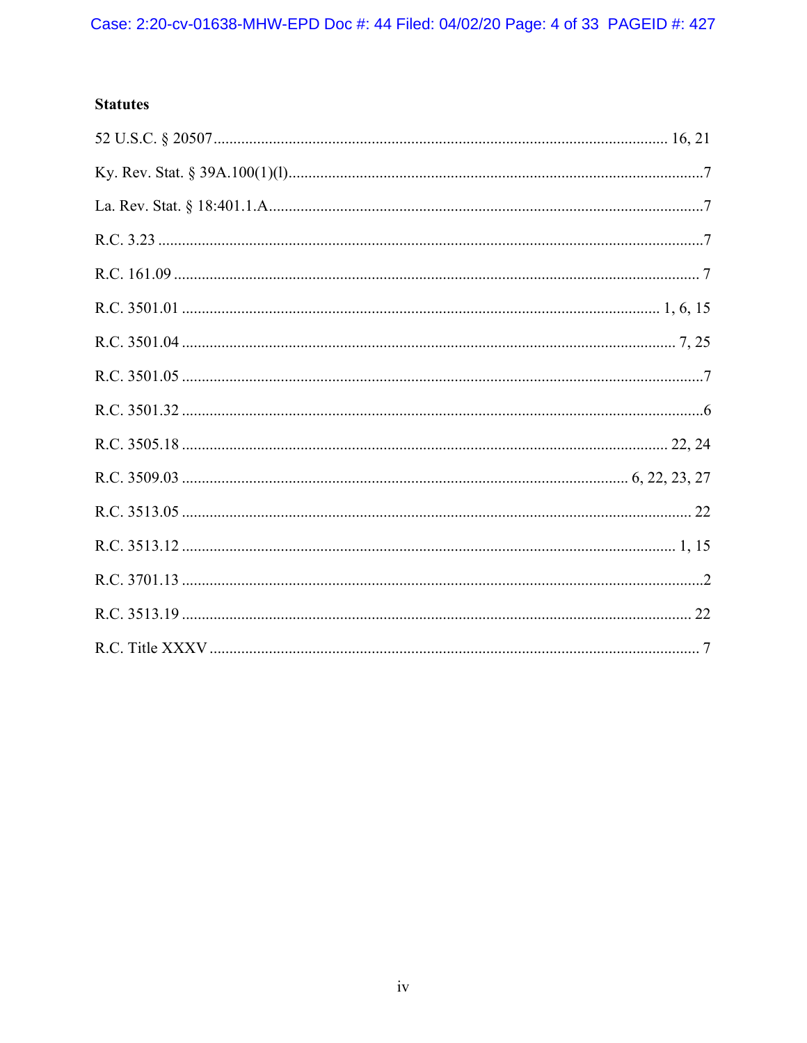## **Statutes**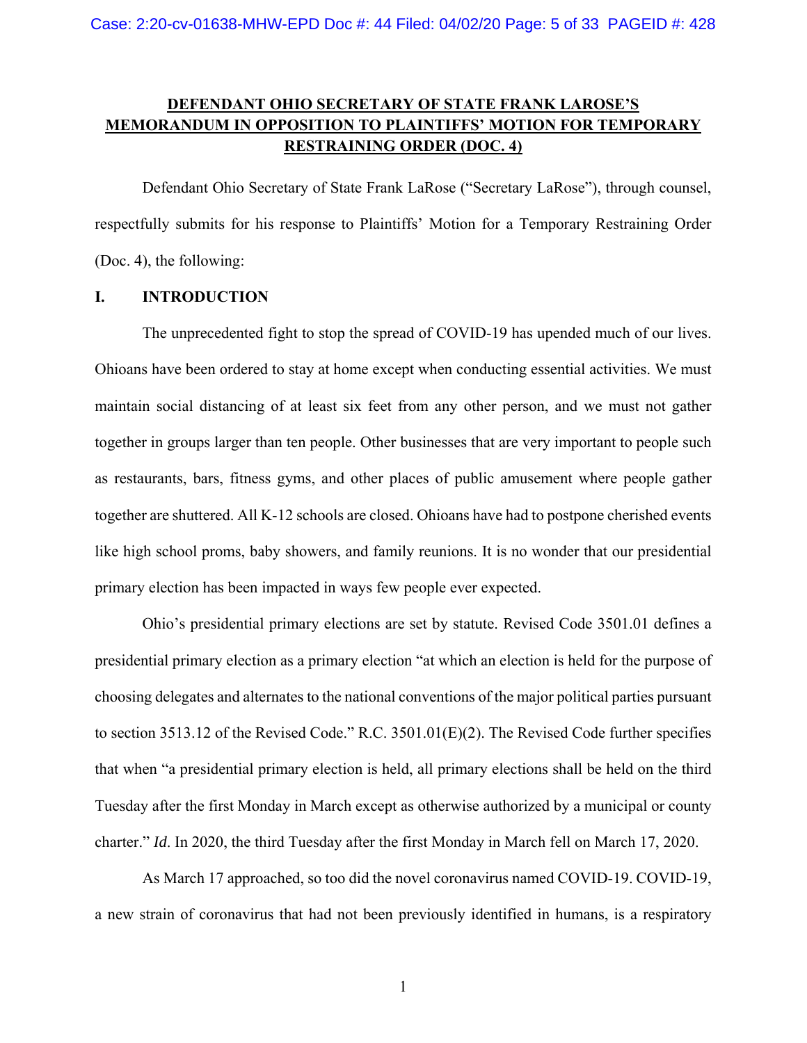## **DEFENDANT OHIO SECRETARY OF STATE FRANK LAROSE'S MEMORANDUM IN OPPOSITION TO PLAINTIFFS' MOTION FOR TEMPORARY RESTRAINING ORDER (DOC. 4)**

 Defendant Ohio Secretary of State Frank LaRose ("Secretary LaRose"), through counsel, respectfully submits for his response to Plaintiffs' Motion for a Temporary Restraining Order (Doc. 4), the following:

### **I. INTRODUCTION**

The unprecedented fight to stop the spread of COVID-19 has upended much of our lives. Ohioans have been ordered to stay at home except when conducting essential activities. We must maintain social distancing of at least six feet from any other person, and we must not gather together in groups larger than ten people. Other businesses that are very important to people such as restaurants, bars, fitness gyms, and other places of public amusement where people gather together are shuttered. All K-12 schools are closed. Ohioans have had to postpone cherished events like high school proms, baby showers, and family reunions. It is no wonder that our presidential primary election has been impacted in ways few people ever expected.

Ohio's presidential primary elections are set by statute. Revised Code 3501.01 defines a presidential primary election as a primary election "at which an election is held for the purpose of choosing delegates and alternates to the national conventions of the major political parties pursuant to section 3513.12 of the Revised Code." R.C. 3501.01(E)(2). The Revised Code further specifies that when "a presidential primary election is held, all primary elections shall be held on the third Tuesday after the first Monday in March except as otherwise authorized by a municipal or county charter." *Id*. In 2020, the third Tuesday after the first Monday in March fell on March 17, 2020.

As March 17 approached, so too did the novel coronavirus named COVID-19. COVID-19, a new strain of coronavirus that had not been previously identified in humans, is a respiratory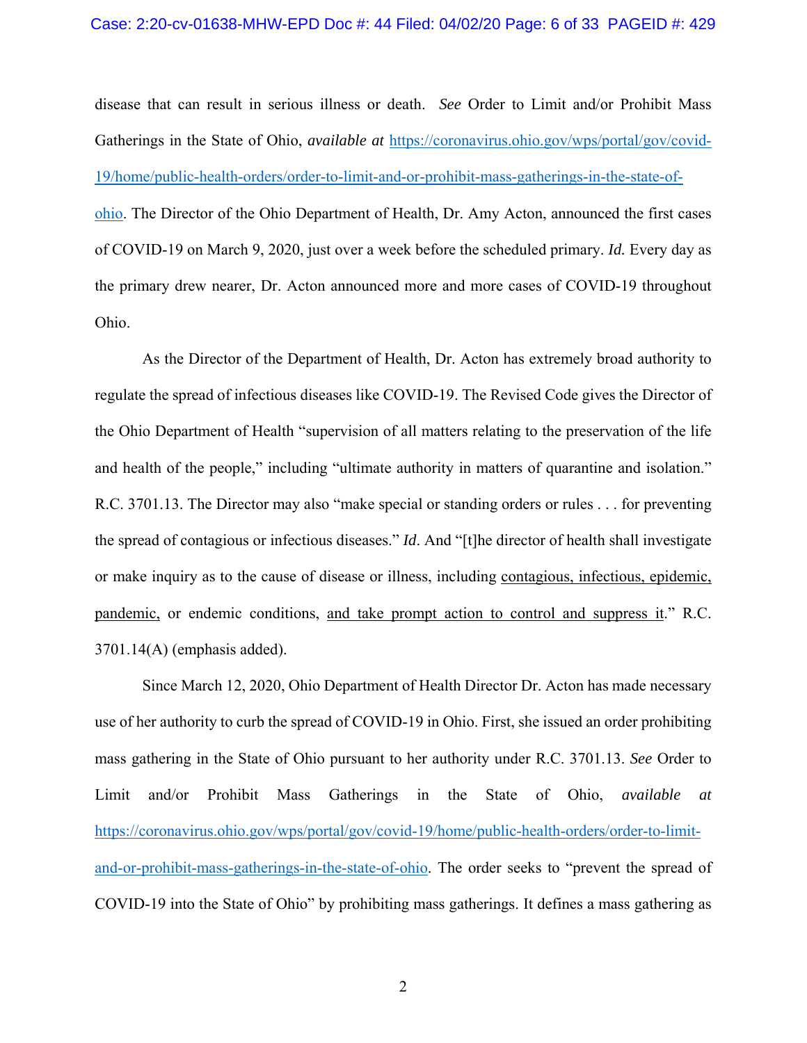disease that can result in serious illness or death. *See* Order to Limit and/or Prohibit Mass Gatherings in the State of Ohio, *available at* https://coronavirus.ohio.gov/wps/portal/gov/covid-19/home/public-health-orders/order-to-limit-and-or-prohibit-mass-gatherings-in-the-state-ofohio. The Director of the Ohio Department of Health, Dr. Amy Acton, announced the first cases of COVID-19 on March 9, 2020, just over a week before the scheduled primary. *Id.* Every day as the primary drew nearer, Dr. Acton announced more and more cases of COVID-19 throughout Ohio.

As the Director of the Department of Health, Dr. Acton has extremely broad authority to regulate the spread of infectious diseases like COVID-19. The Revised Code gives the Director of the Ohio Department of Health "supervision of all matters relating to the preservation of the life and health of the people," including "ultimate authority in matters of quarantine and isolation." R.C. 3701.13. The Director may also "make special or standing orders or rules . . . for preventing the spread of contagious or infectious diseases." *Id*. And "[t]he director of health shall investigate or make inquiry as to the cause of disease or illness, including contagious, infectious, epidemic, pandemic, or endemic conditions, and take prompt action to control and suppress it." R.C. 3701.14(A) (emphasis added).

Since March 12, 2020, Ohio Department of Health Director Dr. Acton has made necessary use of her authority to curb the spread of COVID-19 in Ohio. First, she issued an order prohibiting mass gathering in the State of Ohio pursuant to her authority under R.C. 3701.13. *See* Order to Limit and/or Prohibit Mass Gatherings in the State of Ohio, *available at* https://coronavirus.ohio.gov/wps/portal/gov/covid-19/home/public-health-orders/order-to-limitand-or-prohibit-mass-gatherings-in-the-state-of-ohio. The order seeks to "prevent the spread of COVID-19 into the State of Ohio" by prohibiting mass gatherings. It defines a mass gathering as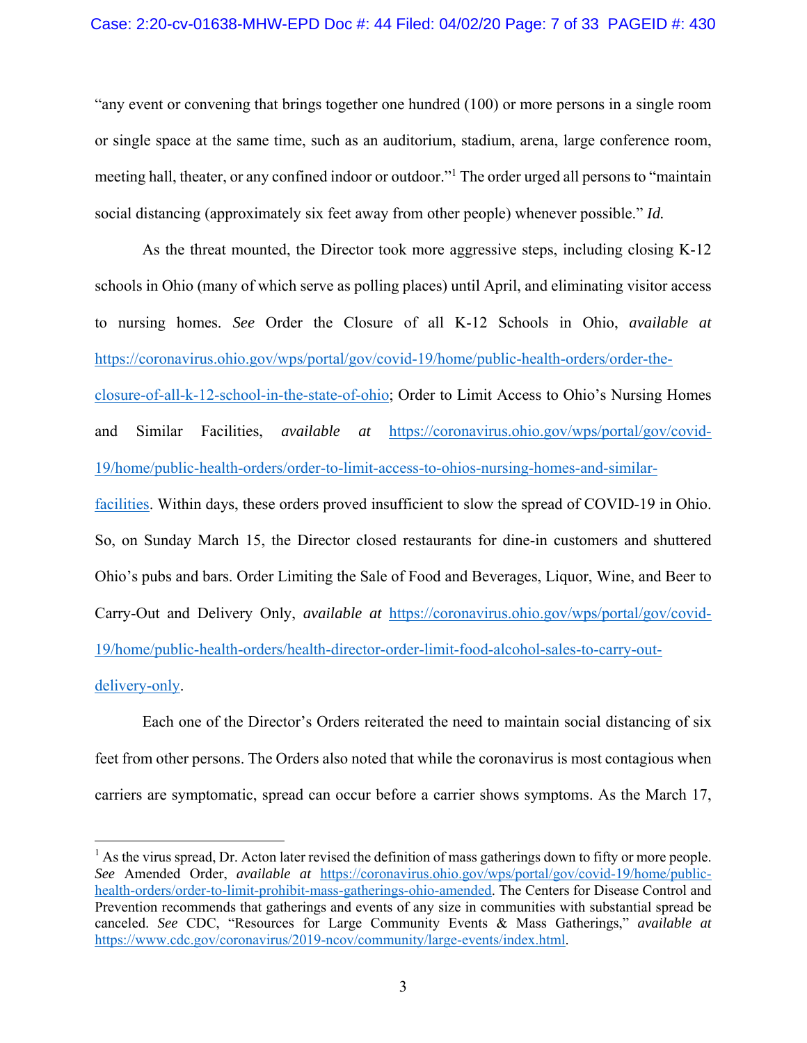"any event or convening that brings together one hundred (100) or more persons in a single room or single space at the same time, such as an auditorium, stadium, arena, large conference room, meeting hall, theater, or any confined indoor or outdoor."<sup>1</sup> The order urged all persons to "maintain social distancing (approximately six feet away from other people) whenever possible." *Id.*

As the threat mounted, the Director took more aggressive steps, including closing K-12 schools in Ohio (many of which serve as polling places) until April, and eliminating visitor access to nursing homes. *See* Order the Closure of all K-12 Schools in Ohio, *available at* https://coronavirus.ohio.gov/wps/portal/gov/covid-19/home/public-health-orders/order-theclosure-of-all-k-12-school-in-the-state-of-ohio; Order to Limit Access to Ohio's Nursing Homes and Similar Facilities, *available at* https://coronavirus.ohio.gov/wps/portal/gov/covid-19/home/public-health-orders/order-to-limit-access-to-ohios-nursing-homes-and-similarfacilities. Within days, these orders proved insufficient to slow the spread of COVID-19 in Ohio. So, on Sunday March 15, the Director closed restaurants for dine-in customers and shuttered Ohio's pubs and bars. Order Limiting the Sale of Food and Beverages, Liquor, Wine, and Beer to Carry-Out and Delivery Only, *available at* https://coronavirus.ohio.gov/wps/portal/gov/covid-19/home/public-health-orders/health-director-order-limit-food-alcohol-sales-to-carry-outdelivery-only.

Each one of the Director's Orders reiterated the need to maintain social distancing of six feet from other persons. The Orders also noted that while the coronavirus is most contagious when carriers are symptomatic, spread can occur before a carrier shows symptoms. As the March 17,

 $\overline{a}$ 

 $<sup>1</sup>$  As the virus spread, Dr. Acton later revised the definition of mass gatherings down to fifty or more people.</sup> *See* Amended Order, *available at* https://coronavirus.ohio.gov/wps/portal/gov/covid-19/home/publichealth-orders/order-to-limit-prohibit-mass-gatherings-ohio-amended. The Centers for Disease Control and Prevention recommends that gatherings and events of any size in communities with substantial spread be canceled. *See* CDC, "Resources for Large Community Events & Mass Gatherings," *available at*  https://www.cdc.gov/coronavirus/2019-ncov/community/large-events/index.html.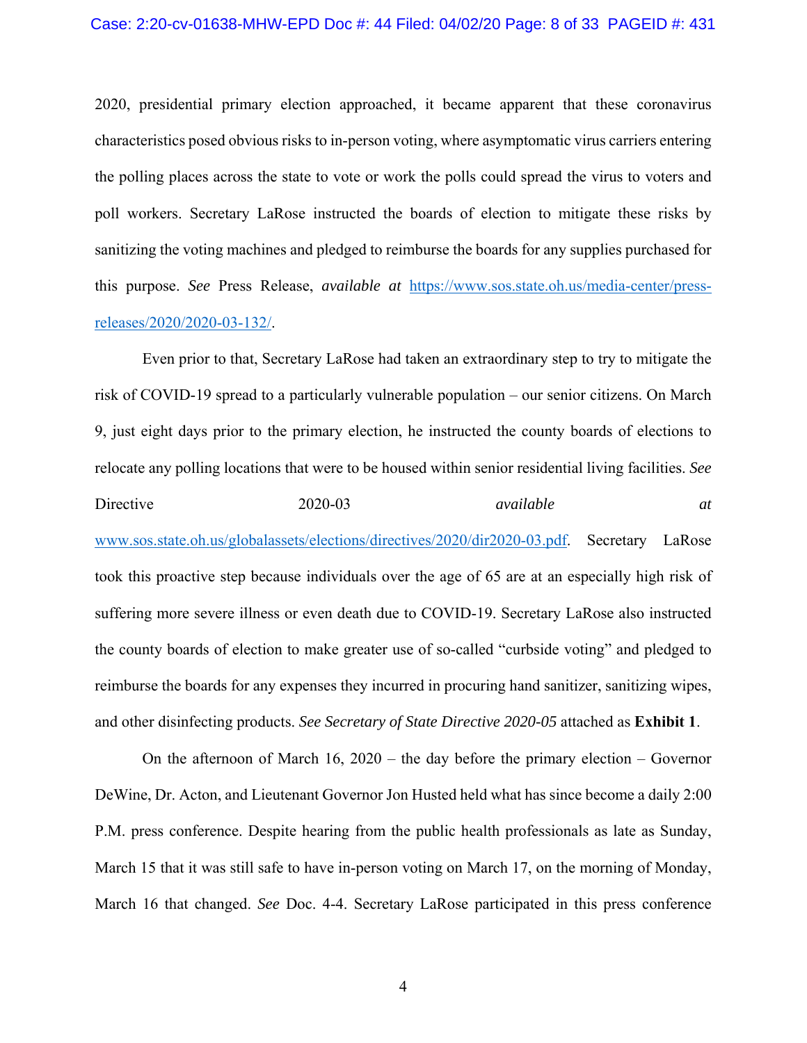#### Case: 2:20-cv-01638-MHW-EPD Doc #: 44 Filed: 04/02/20 Page: 8 of 33 PAGEID #: 431

2020, presidential primary election approached, it became apparent that these coronavirus characteristics posed obvious risks to in-person voting, where asymptomatic virus carriers entering the polling places across the state to vote or work the polls could spread the virus to voters and poll workers. Secretary LaRose instructed the boards of election to mitigate these risks by sanitizing the voting machines and pledged to reimburse the boards for any supplies purchased for this purpose. *See* Press Release, *available at* https://www.sos.state.oh.us/media-center/pressreleases/2020/2020-03-132/.

 Even prior to that, Secretary LaRose had taken an extraordinary step to try to mitigate the risk of COVID-19 spread to a particularly vulnerable population – our senior citizens. On March 9, just eight days prior to the primary election, he instructed the county boards of elections to relocate any polling locations that were to be housed within senior residential living facilities. *See*  Directive 2020-03 *available at* www.sos.state.oh.us/globalassets/elections/directives/2020/dir2020-03.pdf. Secretary LaRose took this proactive step because individuals over the age of 65 are at an especially high risk of suffering more severe illness or even death due to COVID-19. Secretary LaRose also instructed the county boards of election to make greater use of so-called "curbside voting" and pledged to reimburse the boards for any expenses they incurred in procuring hand sanitizer, sanitizing wipes, and other disinfecting products. *See Secretary of State Directive 2020-05* attached as **Exhibit 1**.

On the afternoon of March 16, 2020 – the day before the primary election – Governor DeWine, Dr. Acton, and Lieutenant Governor Jon Husted held what has since become a daily 2:00 P.M. press conference. Despite hearing from the public health professionals as late as Sunday, March 15 that it was still safe to have in-person voting on March 17, on the morning of Monday, March 16 that changed. *See* Doc. 4-4. Secretary LaRose participated in this press conference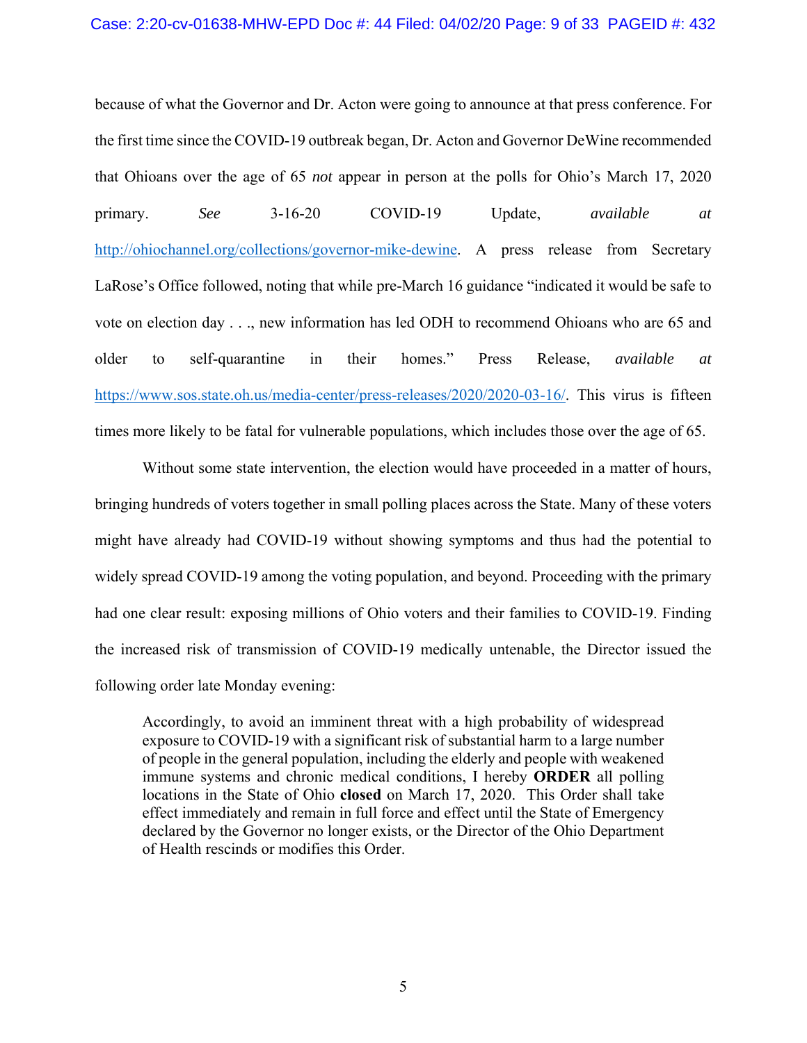#### Case: 2:20-cv-01638-MHW-EPD Doc #: 44 Filed: 04/02/20 Page: 9 of 33 PAGEID #: 432

because of what the Governor and Dr. Acton were going to announce at that press conference. For the first time since the COVID-19 outbreak began, Dr. Acton and Governor DeWine recommended that Ohioans over the age of 65 *not* appear in person at the polls for Ohio's March 17, 2020 primary. *See* 3-16-20 COVID-19 Update, *available at*  http://ohiochannel.org/collections/governor-mike-dewine. A press release from Secretary LaRose's Office followed, noting that while pre-March 16 guidance "indicated it would be safe to vote on election day . . ., new information has led ODH to recommend Ohioans who are 65 and older to self-quarantine in their homes." Press Release, *available at*  https://www.sos.state.oh.us/media-center/press-releases/2020/2020-03-16/. This virus is fifteen times more likely to be fatal for vulnerable populations, which includes those over the age of 65.

Without some state intervention, the election would have proceeded in a matter of hours, bringing hundreds of voters together in small polling places across the State. Many of these voters might have already had COVID-19 without showing symptoms and thus had the potential to widely spread COVID-19 among the voting population, and beyond. Proceeding with the primary had one clear result: exposing millions of Ohio voters and their families to COVID-19. Finding the increased risk of transmission of COVID-19 medically untenable, the Director issued the following order late Monday evening:

Accordingly, to avoid an imminent threat with a high probability of widespread exposure to COVID-19 with a significant risk of substantial harm to a large number of people in the general population, including the elderly and people with weakened immune systems and chronic medical conditions, I hereby **ORDER** all polling locations in the State of Ohio **closed** on March 17, 2020. This Order shall take effect immediately and remain in full force and effect until the State of Emergency declared by the Governor no longer exists, or the Director of the Ohio Department of Health rescinds or modifies this Order.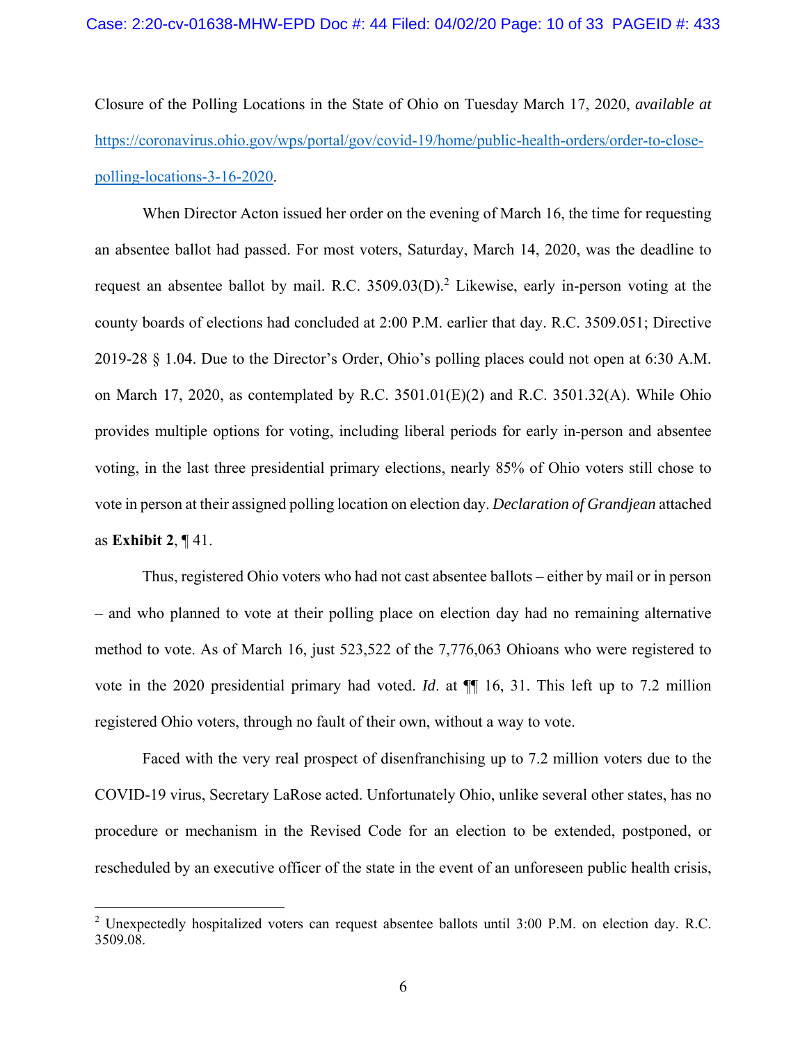Closure of the Polling Locations in the State of Ohio on Tuesday March 17, 2020, *available at*  https://coronavirus.ohio.gov/wps/portal/gov/covid-19/home/public-health-orders/order-to-closepolling-locations-3-16-2020.

When Director Acton issued her order on the evening of March 16, the time for requesting an absentee ballot had passed. For most voters, Saturday, March 14, 2020, was the deadline to request an absentee ballot by mail. R.C.  $3509.03(D)$ .<sup>2</sup> Likewise, early in-person voting at the county boards of elections had concluded at 2:00 P.M. earlier that day. R.C. 3509.051; Directive 2019-28 § 1.04. Due to the Director's Order, Ohio's polling places could not open at 6:30 A.M. on March 17, 2020, as contemplated by R.C. 3501.01(E)(2) and R.C. 3501.32(A). While Ohio provides multiple options for voting, including liberal periods for early in-person and absentee voting, in the last three presidential primary elections, nearly 85% of Ohio voters still chose to vote in person at their assigned polling location on election day. *Declaration of Grandjean* attached as **Exhibit 2**, ¶ 41.

Thus, registered Ohio voters who had not cast absentee ballots – either by mail or in person – and who planned to vote at their polling place on election day had no remaining alternative method to vote. As of March 16, just 523,522 of the 7,776,063 Ohioans who were registered to vote in the 2020 presidential primary had voted. *Id*. at ¶¶ 16, 31. This left up to 7.2 million registered Ohio voters, through no fault of their own, without a way to vote.

Faced with the very real prospect of disenfranchising up to 7.2 million voters due to the COVID-19 virus, Secretary LaRose acted. Unfortunately Ohio, unlike several other states, has no procedure or mechanism in the Revised Code for an election to be extended, postponed, or rescheduled by an executive officer of the state in the event of an unforeseen public health crisis,

 $\overline{a}$ 

<sup>&</sup>lt;sup>2</sup> Unexpectedly hospitalized voters can request absentee ballots until 3:00 P.M. on election day. R.C. 3509.08.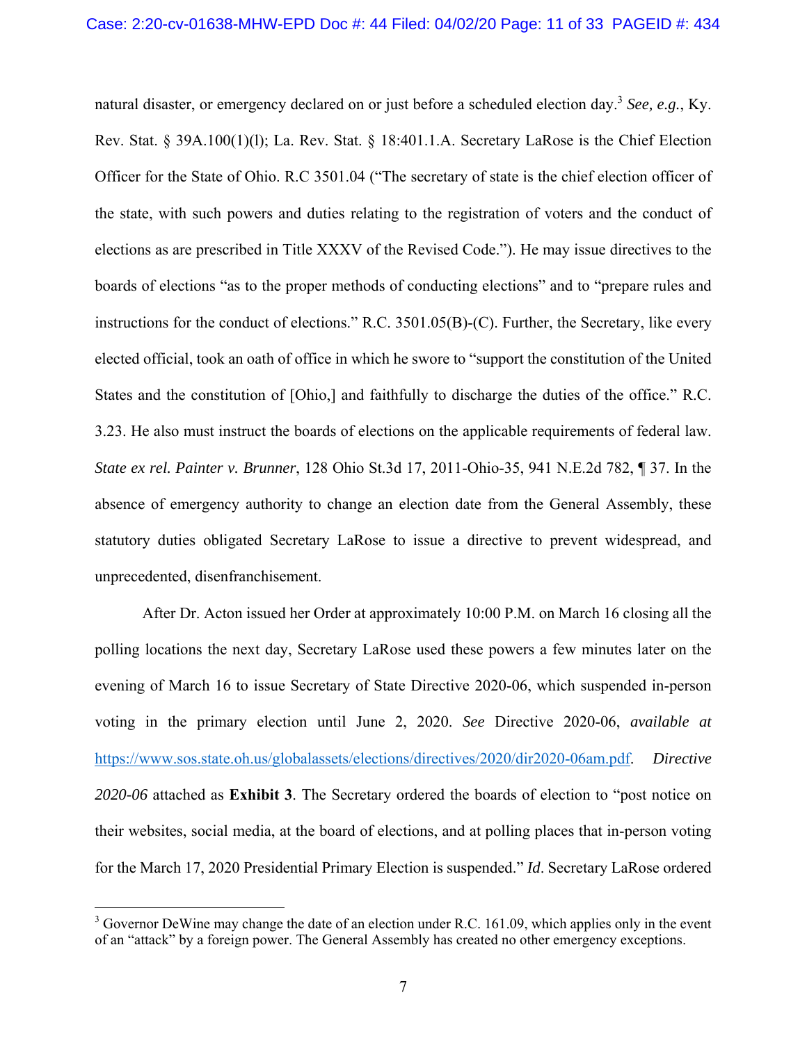natural disaster, or emergency declared on or just before a scheduled election day.3 *See, e.g.*, Ky. Rev. Stat. § 39A.100(1)(l); La. Rev. Stat. § 18:401.1.A. Secretary LaRose is the Chief Election Officer for the State of Ohio. R.C 3501.04 ("The secretary of state is the chief election officer of the state, with such powers and duties relating to the registration of voters and the conduct of elections as are prescribed in Title XXXV of the Revised Code."). He may issue directives to the boards of elections "as to the proper methods of conducting elections" and to "prepare rules and instructions for the conduct of elections." R.C. 3501.05(B)-(C). Further, the Secretary, like every elected official, took an oath of office in which he swore to "support the constitution of the United States and the constitution of [Ohio,] and faithfully to discharge the duties of the office." R.C. 3.23. He also must instruct the boards of elections on the applicable requirements of federal law. *State ex rel. Painter v. Brunner*, 128 Ohio St.3d 17, 2011-Ohio-35, 941 N.E.2d 782, ¶ 37. In the absence of emergency authority to change an election date from the General Assembly, these statutory duties obligated Secretary LaRose to issue a directive to prevent widespread, and unprecedented, disenfranchisement.

After Dr. Acton issued her Order at approximately 10:00 P.M. on March 16 closing all the polling locations the next day, Secretary LaRose used these powers a few minutes later on the evening of March 16 to issue Secretary of State Directive 2020-06, which suspended in-person voting in the primary election until June 2, 2020. *See* Directive 2020-06, *available at*  https://www.sos.state.oh.us/globalassets/elections/directives/2020/dir2020-06am.pdf. *Directive 2020-06* attached as **Exhibit 3**. The Secretary ordered the boards of election to "post notice on their websites, social media, at the board of elections, and at polling places that in-person voting for the March 17, 2020 Presidential Primary Election is suspended." *Id*. Secretary LaRose ordered

1

 $3$  Governor DeWine may change the date of an election under R.C. 161.09, which applies only in the event of an "attack" by a foreign power. The General Assembly has created no other emergency exceptions.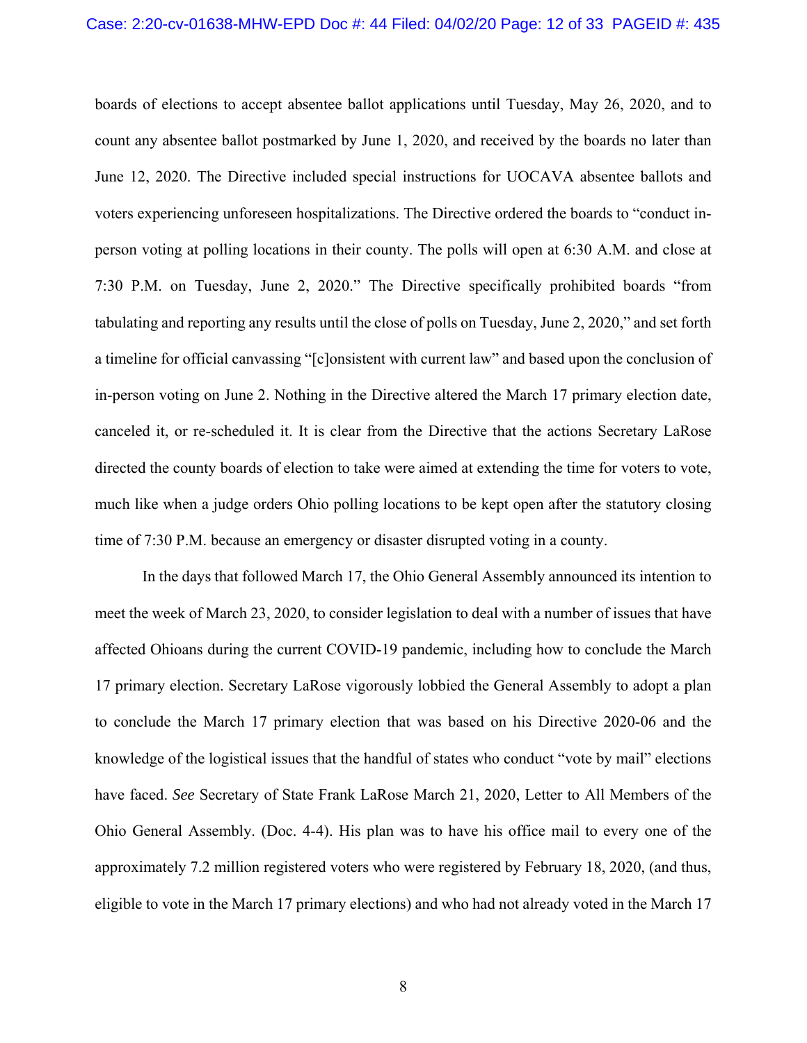boards of elections to accept absentee ballot applications until Tuesday, May 26, 2020, and to count any absentee ballot postmarked by June 1, 2020, and received by the boards no later than June 12, 2020. The Directive included special instructions for UOCAVA absentee ballots and voters experiencing unforeseen hospitalizations. The Directive ordered the boards to "conduct inperson voting at polling locations in their county. The polls will open at 6:30 A.M. and close at 7:30 P.M. on Tuesday, June 2, 2020." The Directive specifically prohibited boards "from tabulating and reporting any results until the close of polls on Tuesday, June 2, 2020," and set forth a timeline for official canvassing "[c]onsistent with current law" and based upon the conclusion of in-person voting on June 2. Nothing in the Directive altered the March 17 primary election date, canceled it, or re-scheduled it. It is clear from the Directive that the actions Secretary LaRose directed the county boards of election to take were aimed at extending the time for voters to vote, much like when a judge orders Ohio polling locations to be kept open after the statutory closing time of 7:30 P.M. because an emergency or disaster disrupted voting in a county.

In the days that followed March 17, the Ohio General Assembly announced its intention to meet the week of March 23, 2020, to consider legislation to deal with a number of issues that have affected Ohioans during the current COVID-19 pandemic, including how to conclude the March 17 primary election. Secretary LaRose vigorously lobbied the General Assembly to adopt a plan to conclude the March 17 primary election that was based on his Directive 2020-06 and the knowledge of the logistical issues that the handful of states who conduct "vote by mail" elections have faced. *See* Secretary of State Frank LaRose March 21, 2020, Letter to All Members of the Ohio General Assembly. (Doc. 4-4). His plan was to have his office mail to every one of the approximately 7.2 million registered voters who were registered by February 18, 2020, (and thus, eligible to vote in the March 17 primary elections) and who had not already voted in the March 17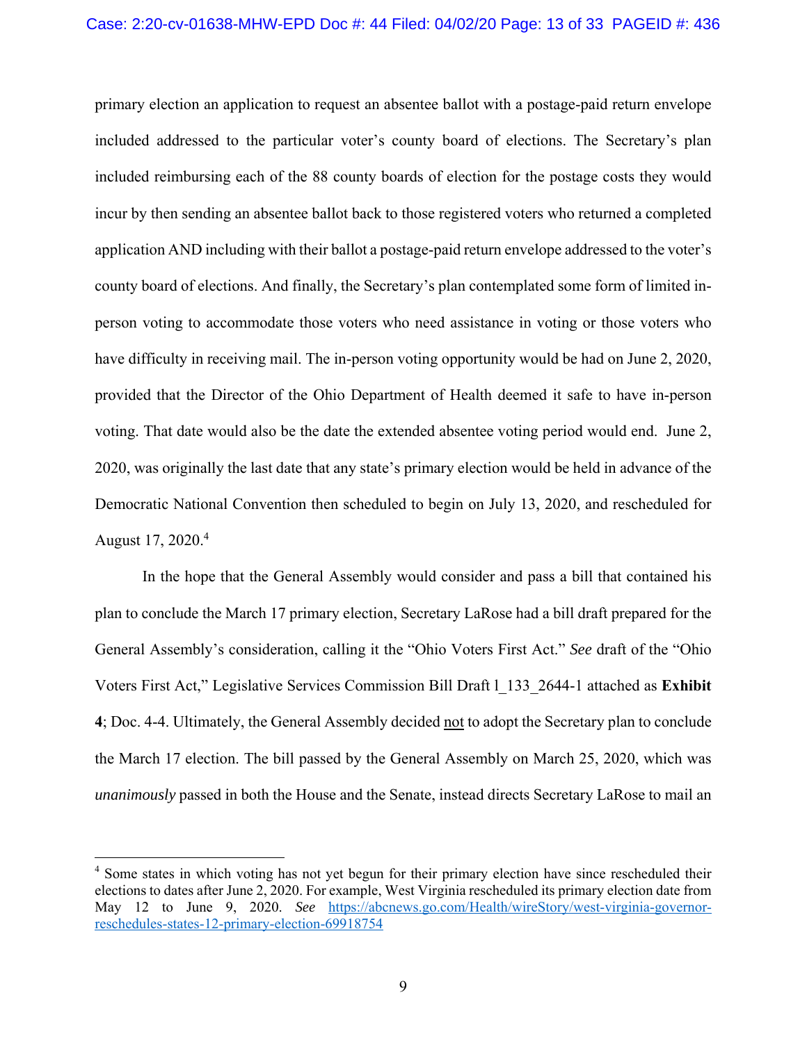primary election an application to request an absentee ballot with a postage-paid return envelope included addressed to the particular voter's county board of elections. The Secretary's plan included reimbursing each of the 88 county boards of election for the postage costs they would incur by then sending an absentee ballot back to those registered voters who returned a completed application AND including with their ballot a postage-paid return envelope addressed to the voter's county board of elections. And finally, the Secretary's plan contemplated some form of limited inperson voting to accommodate those voters who need assistance in voting or those voters who have difficulty in receiving mail. The in-person voting opportunity would be had on June 2, 2020, provided that the Director of the Ohio Department of Health deemed it safe to have in-person voting. That date would also be the date the extended absentee voting period would end. June 2, 2020, was originally the last date that any state's primary election would be held in advance of the Democratic National Convention then scheduled to begin on July 13, 2020, and rescheduled for August 17, 2020.<sup>4</sup>

In the hope that the General Assembly would consider and pass a bill that contained his plan to conclude the March 17 primary election, Secretary LaRose had a bill draft prepared for the General Assembly's consideration, calling it the "Ohio Voters First Act." *See* draft of the "Ohio Voters First Act," Legislative Services Commission Bill Draft l\_133\_2644-1 attached as **Exhibit 4**; Doc. 4-4. Ultimately, the General Assembly decided not to adopt the Secretary plan to conclude the March 17 election. The bill passed by the General Assembly on March 25, 2020, which was *unanimously* passed in both the House and the Senate, instead directs Secretary LaRose to mail an

 $\overline{a}$ 

<sup>&</sup>lt;sup>4</sup> Some states in which voting has not yet begun for their primary election have since rescheduled their elections to dates after June 2, 2020. For example, West Virginia rescheduled its primary election date from May 12 to June 9, 2020. *See* https://abcnews.go.com/Health/wireStory/west-virginia-governorreschedules-states-12-primary-election-69918754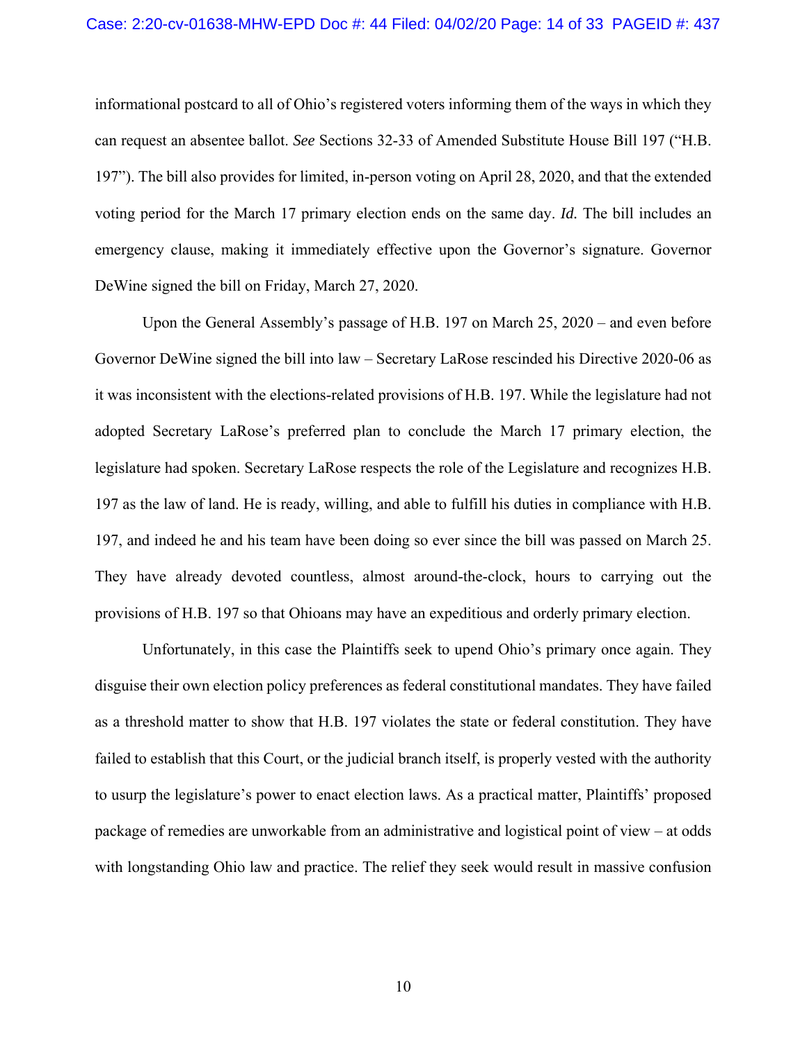informational postcard to all of Ohio's registered voters informing them of the ways in which they can request an absentee ballot. *See* Sections 32-33 of Amended Substitute House Bill 197 ("H.B. 197"). The bill also provides for limited, in-person voting on April 28, 2020, and that the extended voting period for the March 17 primary election ends on the same day. *Id.* The bill includes an emergency clause, making it immediately effective upon the Governor's signature. Governor DeWine signed the bill on Friday, March 27, 2020.

Upon the General Assembly's passage of H.B. 197 on March 25, 2020 – and even before Governor DeWine signed the bill into law – Secretary LaRose rescinded his Directive 2020-06 as it was inconsistent with the elections-related provisions of H.B. 197. While the legislature had not adopted Secretary LaRose's preferred plan to conclude the March 17 primary election, the legislature had spoken. Secretary LaRose respects the role of the Legislature and recognizes H.B. 197 as the law of land. He is ready, willing, and able to fulfill his duties in compliance with H.B. 197, and indeed he and his team have been doing so ever since the bill was passed on March 25. They have already devoted countless, almost around-the-clock, hours to carrying out the provisions of H.B. 197 so that Ohioans may have an expeditious and orderly primary election.

Unfortunately, in this case the Plaintiffs seek to upend Ohio's primary once again. They disguise their own election policy preferences as federal constitutional mandates. They have failed as a threshold matter to show that H.B. 197 violates the state or federal constitution. They have failed to establish that this Court, or the judicial branch itself, is properly vested with the authority to usurp the legislature's power to enact election laws. As a practical matter, Plaintiffs' proposed package of remedies are unworkable from an administrative and logistical point of view – at odds with longstanding Ohio law and practice. The relief they seek would result in massive confusion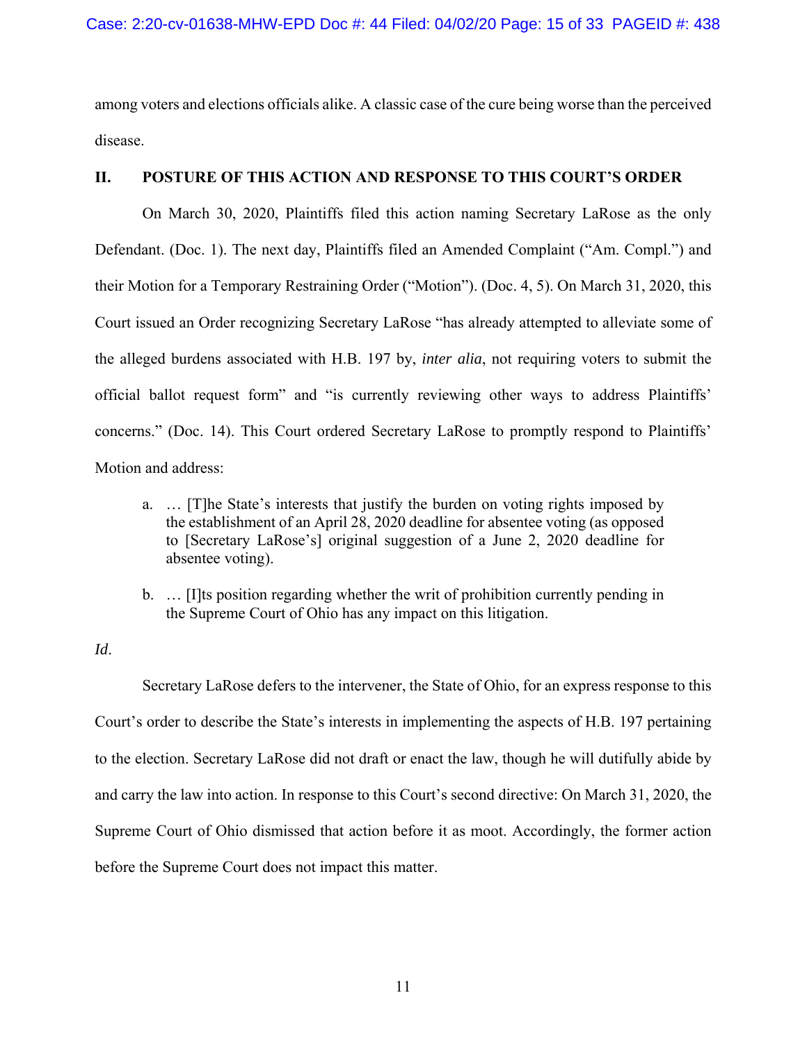among voters and elections officials alike. A classic case of the cure being worse than the perceived disease.

### **II. POSTURE OF THIS ACTION AND RESPONSE TO THIS COURT'S ORDER**

 On March 30, 2020, Plaintiffs filed this action naming Secretary LaRose as the only Defendant. (Doc. 1). The next day, Plaintiffs filed an Amended Complaint ("Am. Compl.") and their Motion for a Temporary Restraining Order ("Motion"). (Doc. 4, 5). On March 31, 2020, this Court issued an Order recognizing Secretary LaRose "has already attempted to alleviate some of the alleged burdens associated with H.B. 197 by, *inter alia*, not requiring voters to submit the official ballot request form" and "is currently reviewing other ways to address Plaintiffs' concerns." (Doc. 14). This Court ordered Secretary LaRose to promptly respond to Plaintiffs' Motion and address:

- a. … [T]he State's interests that justify the burden on voting rights imposed by the establishment of an April 28, 2020 deadline for absentee voting (as opposed to [Secretary LaRose's] original suggestion of a June 2, 2020 deadline for absentee voting).
- b. … [I]ts position regarding whether the writ of prohibition currently pending in the Supreme Court of Ohio has any impact on this litigation.

### *Id*.

 Secretary LaRose defers to the intervener, the State of Ohio, for an express response to this Court's order to describe the State's interests in implementing the aspects of H.B. 197 pertaining to the election. Secretary LaRose did not draft or enact the law, though he will dutifully abide by and carry the law into action. In response to this Court's second directive: On March 31, 2020, the Supreme Court of Ohio dismissed that action before it as moot. Accordingly, the former action before the Supreme Court does not impact this matter.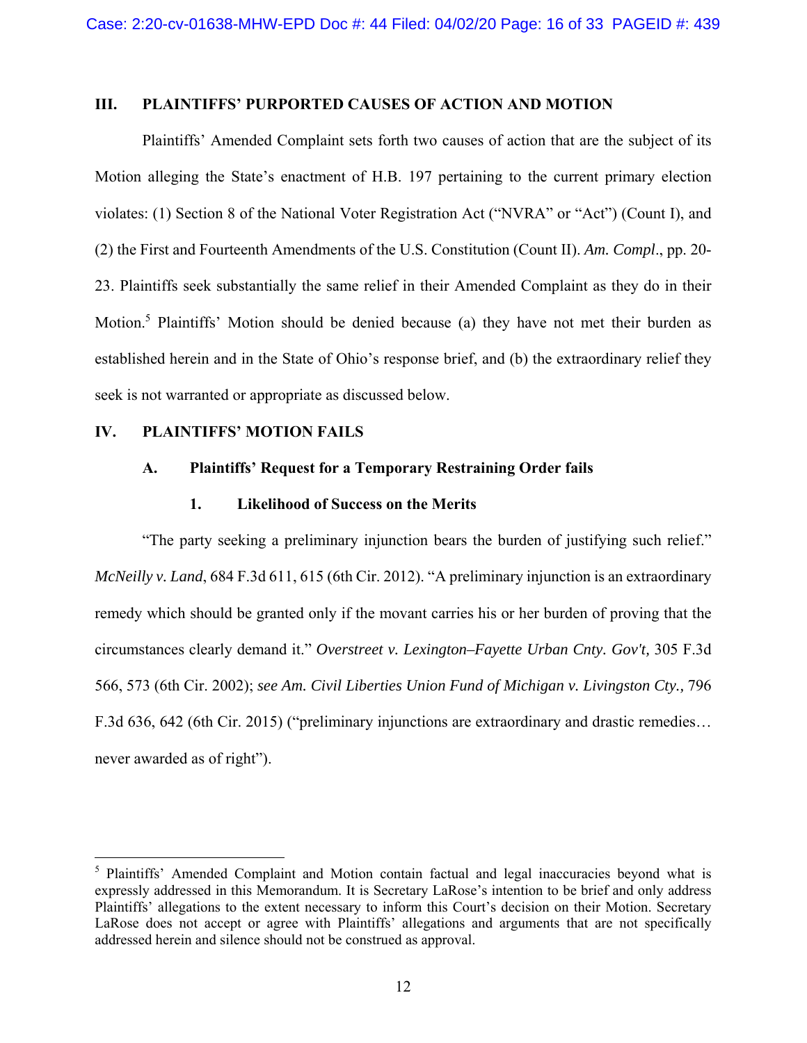### **III. PLAINTIFFS' PURPORTED CAUSES OF ACTION AND MOTION**

 Plaintiffs' Amended Complaint sets forth two causes of action that are the subject of its Motion alleging the State's enactment of H.B. 197 pertaining to the current primary election violates: (1) Section 8 of the National Voter Registration Act ("NVRA" or "Act") (Count I), and (2) the First and Fourteenth Amendments of the U.S. Constitution (Count II). *Am. Compl*., pp. 20- 23. Plaintiffs seek substantially the same relief in their Amended Complaint as they do in their Motion.<sup>5</sup> Plaintiffs' Motion should be denied because (a) they have not met their burden as established herein and in the State of Ohio's response brief, and (b) the extraordinary relief they seek is not warranted or appropriate as discussed below.

#### **IV. PLAINTIFFS' MOTION FAILS**

 $\overline{a}$ 

### **A. Plaintiffs' Request for a Temporary Restraining Order fails**

#### **1. Likelihood of Success on the Merits**

 "The party seeking a preliminary injunction bears the burden of justifying such relief." *McNeilly v. Land*, 684 F.3d 611, 615 (6th Cir. 2012). "A preliminary injunction is an extraordinary remedy which should be granted only if the movant carries his or her burden of proving that the circumstances clearly demand it." *Overstreet v. Lexington–Fayette Urban Cnty. Gov't,* 305 F.3d 566, 573 (6th Cir. 2002); *see Am. Civil Liberties Union Fund of Michigan v. Livingston Cty.,* 796 F.3d 636, 642 (6th Cir. 2015) ("preliminary injunctions are extraordinary and drastic remedies… never awarded as of right").

<sup>&</sup>lt;sup>5</sup> Plaintiffs' Amended Complaint and Motion contain factual and legal inaccuracies beyond what is expressly addressed in this Memorandum. It is Secretary LaRose's intention to be brief and only address Plaintiffs' allegations to the extent necessary to inform this Court's decision on their Motion. Secretary LaRose does not accept or agree with Plaintiffs' allegations and arguments that are not specifically addressed herein and silence should not be construed as approval.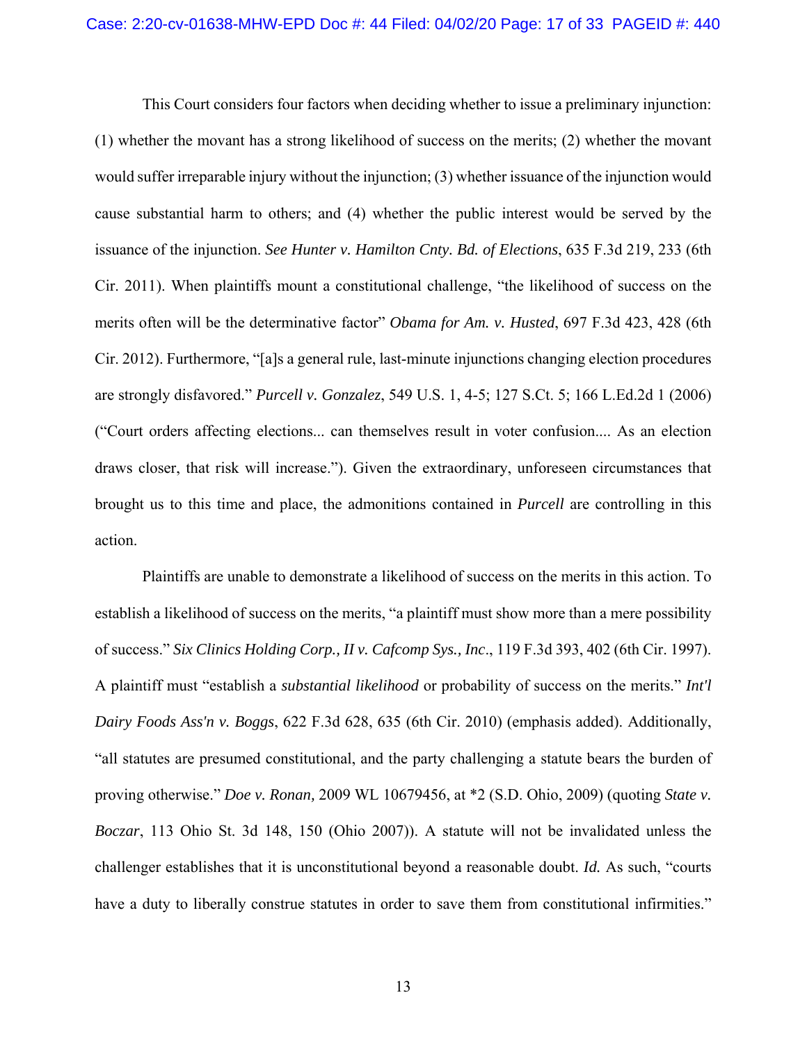This Court considers four factors when deciding whether to issue a preliminary injunction: (1) whether the movant has a strong likelihood of success on the merits; (2) whether the movant would suffer irreparable injury without the injunction; (3) whether issuance of the injunction would cause substantial harm to others; and (4) whether the public interest would be served by the issuance of the injunction. *See Hunter v. Hamilton Cnty. Bd. of Elections*, 635 F.3d 219, 233 (6th Cir. 2011). When plaintiffs mount a constitutional challenge, "the likelihood of success on the merits often will be the determinative factor" *Obama for Am. v. Husted*, 697 F.3d 423, 428 (6th Cir. 2012). Furthermore, "[a]s a general rule, last-minute injunctions changing election procedures are strongly disfavored." *Purcell v. Gonzalez*, 549 U.S. 1, 4-5; 127 S.Ct. 5; 166 L.Ed.2d 1 (2006) ("Court orders affecting elections... can themselves result in voter confusion.... As an election draws closer, that risk will increase."). Given the extraordinary, unforeseen circumstances that brought us to this time and place, the admonitions contained in *Purcell* are controlling in this action.

 Plaintiffs are unable to demonstrate a likelihood of success on the merits in this action. To establish a likelihood of success on the merits, "a plaintiff must show more than a mere possibility of success." *Six Clinics Holding Corp., II v. Cafcomp Sys., Inc*., 119 F.3d 393, 402 (6th Cir. 1997). A plaintiff must "establish a *substantial likelihood* or probability of success on the merits." *Int'l Dairy Foods Ass'n v. Boggs*, 622 F.3d 628, 635 (6th Cir. 2010) (emphasis added). Additionally, "all statutes are presumed constitutional, and the party challenging a statute bears the burden of proving otherwise." *Doe v. Ronan,* 2009 WL 10679456, at \*2 (S.D. Ohio, 2009) (quoting *State v. Boczar*, 113 Ohio St. 3d 148, 150 (Ohio 2007)). A statute will not be invalidated unless the challenger establishes that it is unconstitutional beyond a reasonable doubt. *Id.* As such, "courts have a duty to liberally construe statutes in order to save them from constitutional infirmities."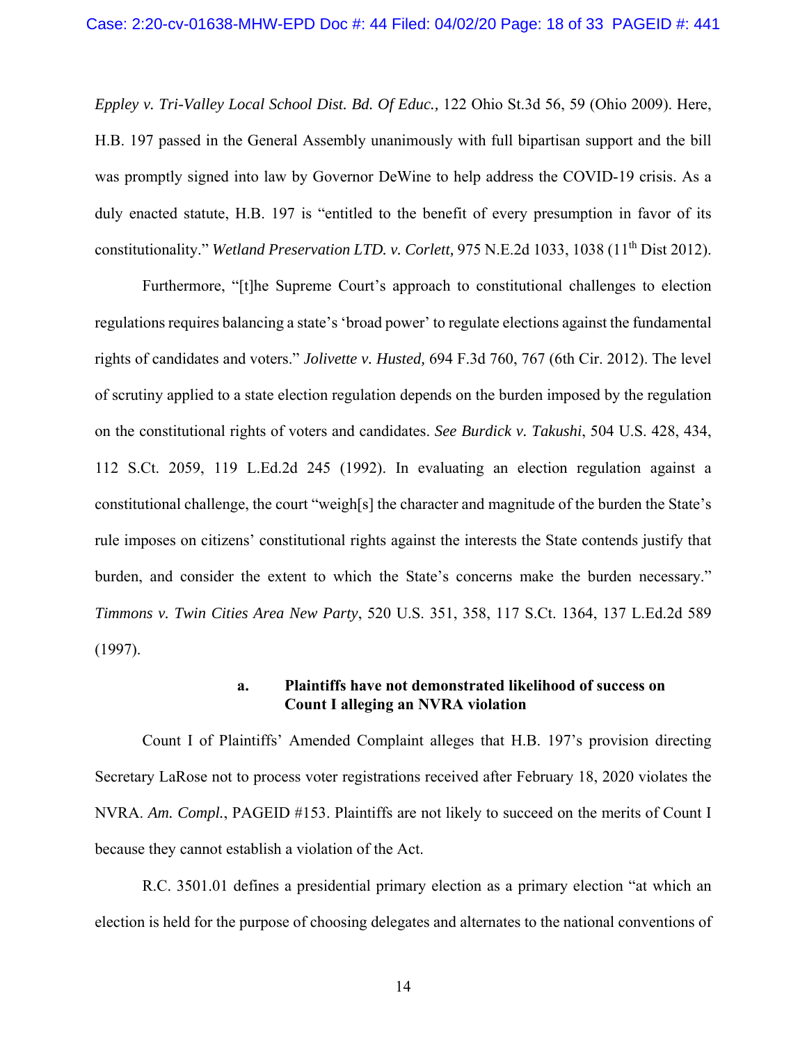*Eppley v. Tri-Valley Local School Dist. Bd. Of Educ.,* 122 Ohio St.3d 56, 59 (Ohio 2009). Here, H.B. 197 passed in the General Assembly unanimously with full bipartisan support and the bill was promptly signed into law by Governor DeWine to help address the COVID-19 crisis. As a duly enacted statute, H.B. 197 is "entitled to the benefit of every presumption in favor of its constitutionality." *Wetland Preservation LTD. v. Corlett,* 975 N.E.2d 1033, 1038 (11<sup>th</sup> Dist 2012).

 Furthermore, "[t]he Supreme Court's approach to constitutional challenges to election regulations requires balancing a state's 'broad power' to regulate elections against the fundamental rights of candidates and voters." *Jolivette v. Husted,* 694 F.3d 760, 767 (6th Cir. 2012). The level of scrutiny applied to a state election regulation depends on the burden imposed by the regulation on the constitutional rights of voters and candidates. *See Burdick v. Takushi*, 504 U.S. 428, 434, 112 S.Ct. 2059, 119 L.Ed.2d 245 (1992). In evaluating an election regulation against a constitutional challenge, the court "weigh[s] the character and magnitude of the burden the State's rule imposes on citizens' constitutional rights against the interests the State contends justify that burden, and consider the extent to which the State's concerns make the burden necessary." *Timmons v. Twin Cities Area New Party*, 520 U.S. 351, 358, 117 S.Ct. 1364, 137 L.Ed.2d 589 (1997).

### **a. Plaintiffs have not demonstrated likelihood of success on Count I alleging an NVRA violation**

 Count I of Plaintiffs' Amended Complaint alleges that H.B. 197's provision directing Secretary LaRose not to process voter registrations received after February 18, 2020 violates the NVRA. *Am. Compl.*, PAGEID #153. Plaintiffs are not likely to succeed on the merits of Count I because they cannot establish a violation of the Act.

 R.C. 3501.01 defines a presidential primary election as a primary election "at which an election is held for the purpose of choosing delegates and alternates to the national conventions of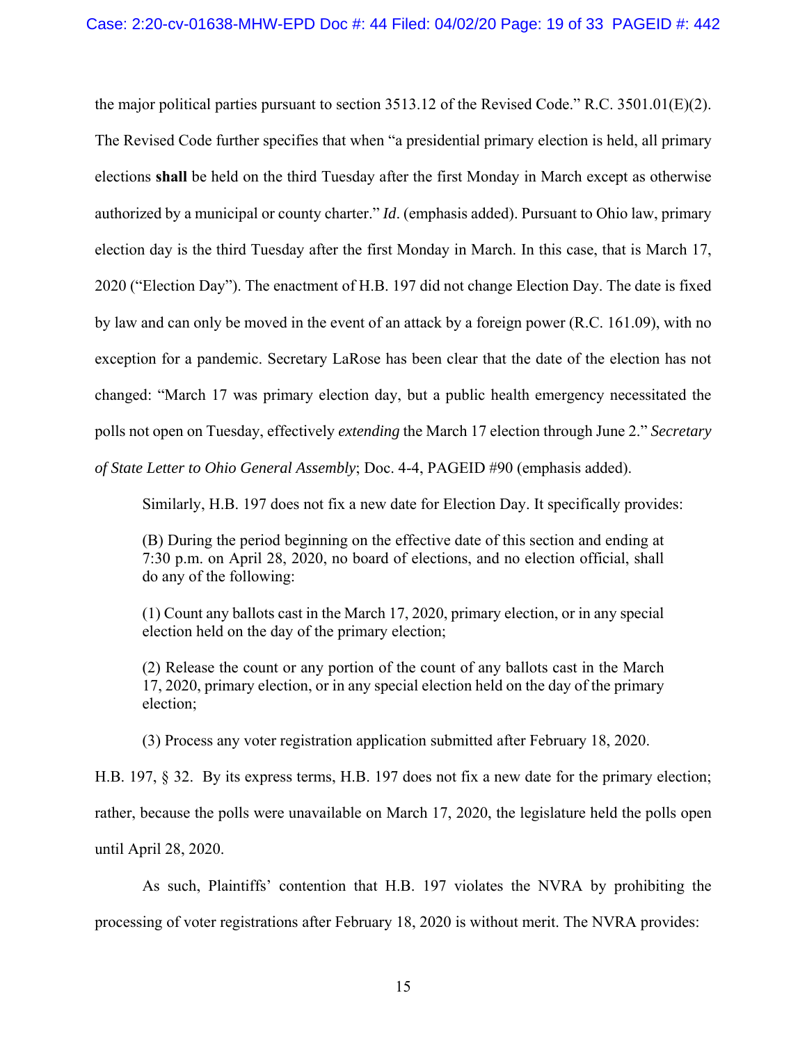the major political parties pursuant to section 3513.12 of the Revised Code." R.C. 3501.01(E)(2). The Revised Code further specifies that when "a presidential primary election is held, all primary elections **shall** be held on the third Tuesday after the first Monday in March except as otherwise authorized by a municipal or county charter." *Id*. (emphasis added). Pursuant to Ohio law, primary election day is the third Tuesday after the first Monday in March. In this case, that is March 17, 2020 ("Election Day"). The enactment of H.B. 197 did not change Election Day. The date is fixed by law and can only be moved in the event of an attack by a foreign power (R.C. 161.09), with no exception for a pandemic. Secretary LaRose has been clear that the date of the election has not changed: "March 17 was primary election day, but a public health emergency necessitated the polls not open on Tuesday, effectively *extending* the March 17 election through June 2." *Secretary of State Letter to Ohio General Assembly*; Doc. 4-4, PAGEID #90 (emphasis added).

Similarly, H.B. 197 does not fix a new date for Election Day. It specifically provides:

(B) During the period beginning on the effective date of this section and ending at 7:30 p.m. on April 28, 2020, no board of elections, and no election official, shall do any of the following:

(1) Count any ballots cast in the March 17, 2020, primary election, or in any special election held on the day of the primary election;

(2) Release the count or any portion of the count of any ballots cast in the March 17, 2020, primary election, or in any special election held on the day of the primary election;

(3) Process any voter registration application submitted after February 18, 2020.

H.B. 197, § 32. By its express terms, H.B. 197 does not fix a new date for the primary election; rather, because the polls were unavailable on March 17, 2020, the legislature held the polls open until April 28, 2020.

As such, Plaintiffs' contention that H.B. 197 violates the NVRA by prohibiting the

processing of voter registrations after February 18, 2020 is without merit. The NVRA provides: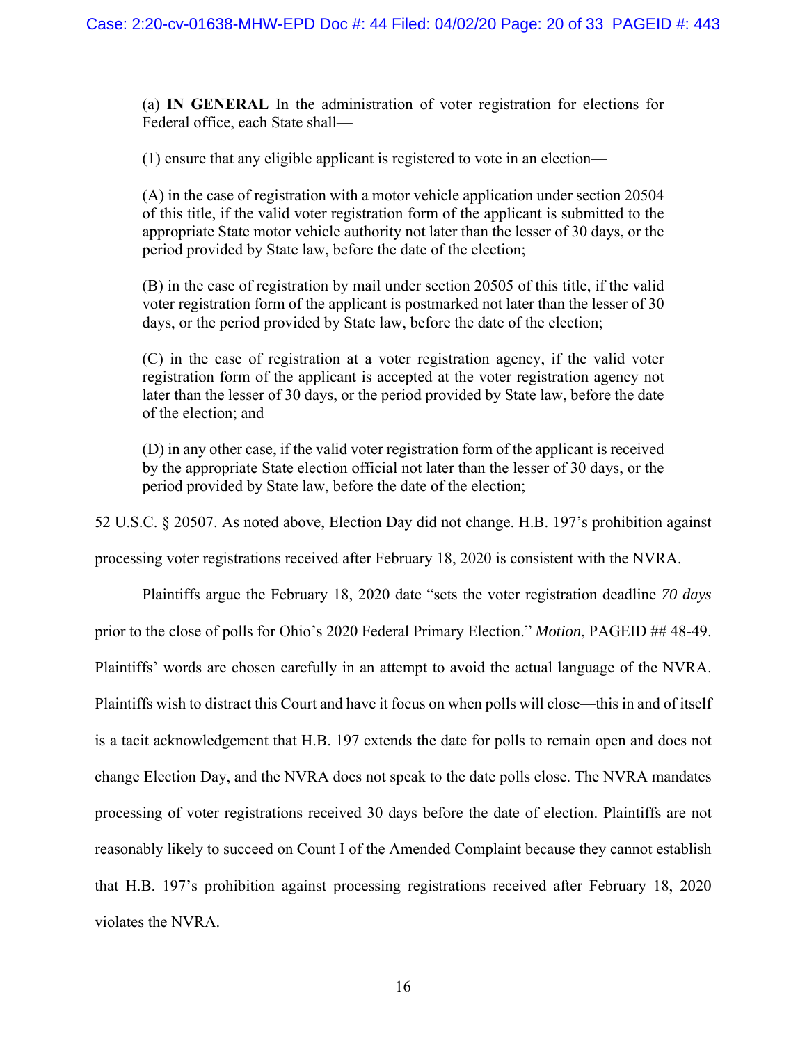(a) **IN GENERAL** In the administration of voter registration for elections for Federal office, each State shall—

(1) ensure that any eligible applicant is registered to vote in an election—

(A) in the case of registration with a motor vehicle application under section 20504 of this title, if the valid voter registration form of the applicant is submitted to the appropriate State motor vehicle authority not later than the lesser of 30 days, or the period provided by State law, before the date of the election;

(B) in the case of registration by mail under section 20505 of this title, if the valid voter registration form of the applicant is postmarked not later than the lesser of 30 days, or the period provided by State law, before the date of the election;

(C) in the case of registration at a voter registration agency, if the valid voter registration form of the applicant is accepted at the voter registration agency not later than the lesser of 30 days, or the period provided by State law, before the date of the election; and

(D) in any other case, if the valid voter registration form of the applicant is received by the appropriate State election official not later than the lesser of 30 days, or the period provided by State law, before the date of the election;

52 U.S.C. § 20507. As noted above, Election Day did not change. H.B. 197's prohibition against

processing voter registrations received after February 18, 2020 is consistent with the NVRA.

 Plaintiffs argue the February 18, 2020 date "sets the voter registration deadline *70 days* prior to the close of polls for Ohio's 2020 Federal Primary Election." *Motion*, PAGEID ## 48-49. Plaintiffs' words are chosen carefully in an attempt to avoid the actual language of the NVRA. Plaintiffs wish to distract this Court and have it focus on when polls will close—this in and of itself is a tacit acknowledgement that H.B. 197 extends the date for polls to remain open and does not change Election Day, and the NVRA does not speak to the date polls close. The NVRA mandates processing of voter registrations received 30 days before the date of election. Plaintiffs are not reasonably likely to succeed on Count I of the Amended Complaint because they cannot establish that H.B. 197's prohibition against processing registrations received after February 18, 2020 violates the NVRA.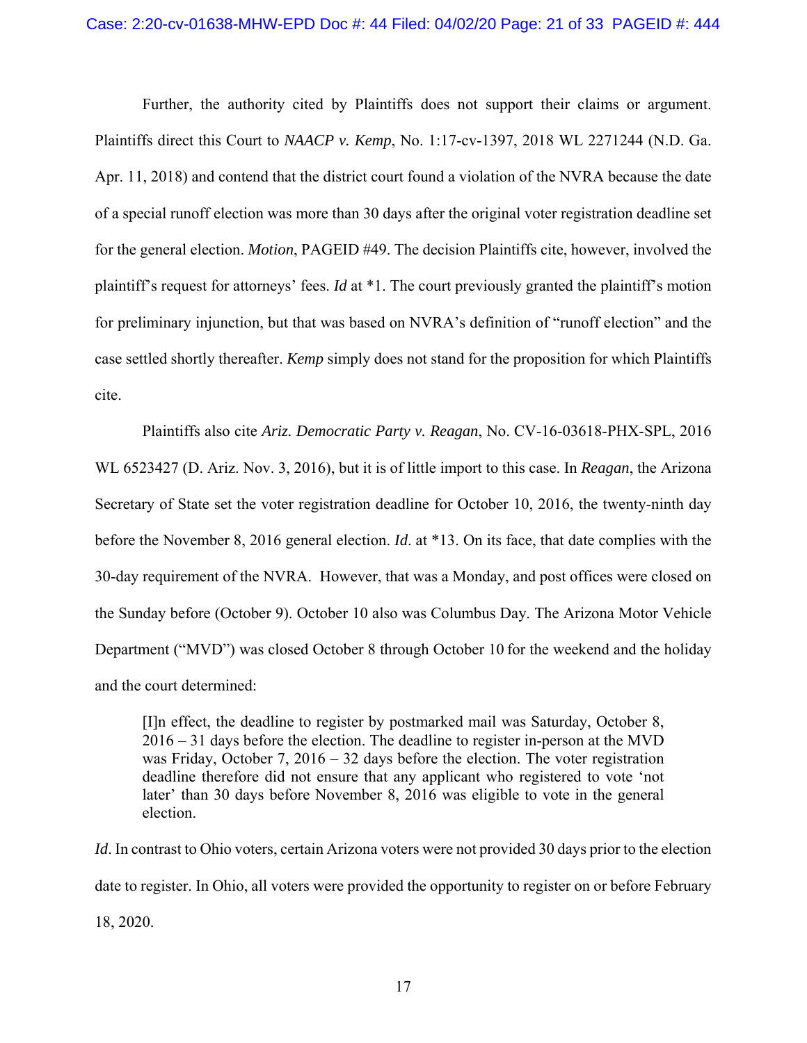Further, the authority cited by Plaintiffs does not support their claims or argument. Plaintiffs direct this Court to *NAACP v. Kemp*, No. 1:17-cv-1397, 2018 WL 2271244 (N.D. Ga. Apr. 11, 2018) and contend that the district court found a violation of the NVRA because the date of a special runoff election was more than 30 days after the original voter registration deadline set for the general election. *Motion*, PAGEID #49. The decision Plaintiffs cite, however, involved the plaintiff's request for attorneys' fees. *Id* at \*1. The court previously granted the plaintiff's motion for preliminary injunction, but that was based on NVRA's definition of "runoff election" and the case settled shortly thereafter. *Kemp* simply does not stand for the proposition for which Plaintiffs cite.

 Plaintiffs also cite *Ariz. Democratic Party v. Reagan*, No. CV-16-03618-PHX-SPL, 2016 WL 6523427 (D. Ariz. Nov. 3, 2016), but it is of little import to this case. In *Reagan*, the Arizona Secretary of State set the voter registration deadline for October 10, 2016, the twenty-ninth day before the November 8, 2016 general election. *Id*. at \*13. On its face, that date complies with the 30-day requirement of the NVRA. However, that was a Monday, and post offices were closed on the Sunday before (October 9). October 10 also was Columbus Day. The Arizona Motor Vehicle Department ("MVD") was closed October 8 through October 10 for the weekend and the holiday and the court determined:

[I]n effect, the deadline to register by postmarked mail was Saturday, October 8, 2016 – 31 days before the election. The deadline to register in-person at the MVD was Friday, October 7, 2016 – 32 days before the election. The voter registration deadline therefore did not ensure that any applicant who registered to vote 'not later' than 30 days before November 8, 2016 was eligible to vote in the general election.

*Id*. In contrast to Ohio voters, certain Arizona voters were not provided 30 days prior to the election date to register. In Ohio, all voters were provided the opportunity to register on or before February 18, 2020.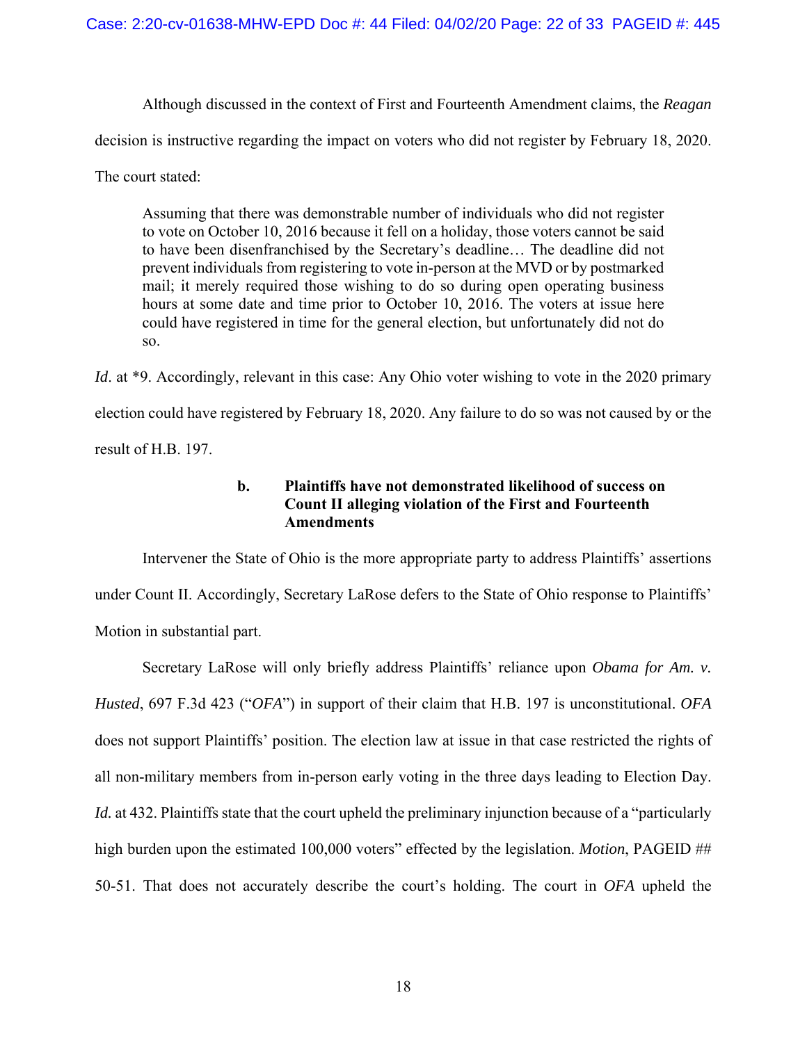Although discussed in the context of First and Fourteenth Amendment claims, the *Reagan*  decision is instructive regarding the impact on voters who did not register by February 18, 2020. The court stated:

Assuming that there was demonstrable number of individuals who did not register to vote on October 10, 2016 because it fell on a holiday, those voters cannot be said to have been disenfranchised by the Secretary's deadline… The deadline did not prevent individuals from registering to vote in-person at the MVD or by postmarked mail; it merely required those wishing to do so during open operating business hours at some date and time prior to October 10, 2016. The voters at issue here could have registered in time for the general election, but unfortunately did not do so.

*Id.* at \*9. Accordingly, relevant in this case: Any Ohio voter wishing to vote in the 2020 primary election could have registered by February 18, 2020. Any failure to do so was not caused by or the result of H.B. 197.

## **b. Plaintiffs have not demonstrated likelihood of success on Count II alleging violation of the First and Fourteenth Amendments**

 Intervener the State of Ohio is the more appropriate party to address Plaintiffs' assertions under Count II. Accordingly, Secretary LaRose defers to the State of Ohio response to Plaintiffs' Motion in substantial part.

 Secretary LaRose will only briefly address Plaintiffs' reliance upon *Obama for Am. v. Husted*, 697 F.3d 423 ("*OFA*") in support of their claim that H.B. 197 is unconstitutional. *OFA*  does not support Plaintiffs' position. The election law at issue in that case restricted the rights of all non-military members from in-person early voting in the three days leading to Election Day. *Id.* at 432. Plaintiffs state that the court upheld the preliminary injunction because of a "particularly" high burden upon the estimated 100,000 voters" effected by the legislation. *Motion*, PAGEID ## 50-51. That does not accurately describe the court's holding. The court in *OFA* upheld the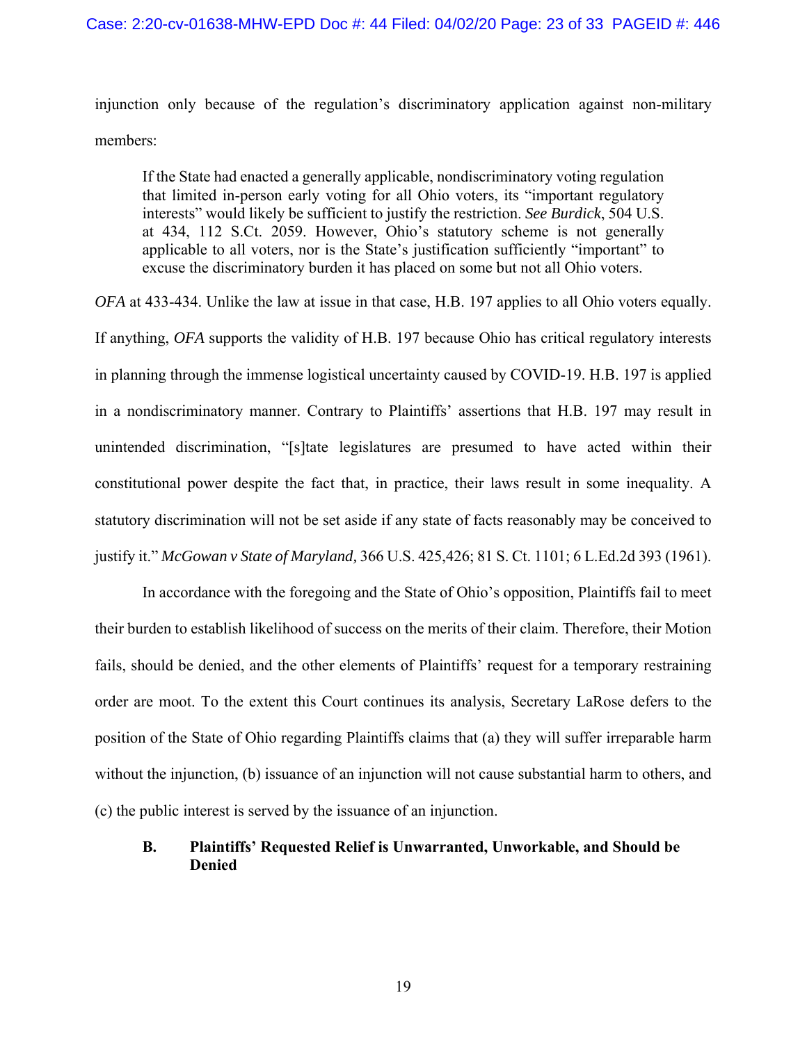injunction only because of the regulation's discriminatory application against non-military members:

If the State had enacted a generally applicable, nondiscriminatory voting regulation that limited in-person early voting for all Ohio voters, its "important regulatory interests" would likely be sufficient to justify the restriction. *See Burdick*, 504 U.S. at 434, 112 S.Ct. 2059. However, Ohio's statutory scheme is not generally applicable to all voters, nor is the State's justification sufficiently "important" to excuse the discriminatory burden it has placed on some but not all Ohio voters.

*OFA* at 433-434. Unlike the law at issue in that case, H.B. 197 applies to all Ohio voters equally. If anything, *OFA* supports the validity of H.B. 197 because Ohio has critical regulatory interests in planning through the immense logistical uncertainty caused by COVID-19. H.B. 197 is applied in a nondiscriminatory manner. Contrary to Plaintiffs' assertions that H.B. 197 may result in unintended discrimination, "[s]tate legislatures are presumed to have acted within their constitutional power despite the fact that, in practice, their laws result in some inequality. A statutory discrimination will not be set aside if any state of facts reasonably may be conceived to justify it." *McGowan v State of Maryland,* 366 U.S. 425,426; 81 S. Ct. 1101; 6 L.Ed.2d 393 (1961).

 In accordance with the foregoing and the State of Ohio's opposition, Plaintiffs fail to meet their burden to establish likelihood of success on the merits of their claim. Therefore, their Motion fails, should be denied, and the other elements of Plaintiffs' request for a temporary restraining order are moot. To the extent this Court continues its analysis, Secretary LaRose defers to the position of the State of Ohio regarding Plaintiffs claims that (a) they will suffer irreparable harm without the injunction, (b) issuance of an injunction will not cause substantial harm to others, and (c) the public interest is served by the issuance of an injunction.

## **B. Plaintiffs' Requested Relief is Unwarranted, Unworkable, and Should be Denied**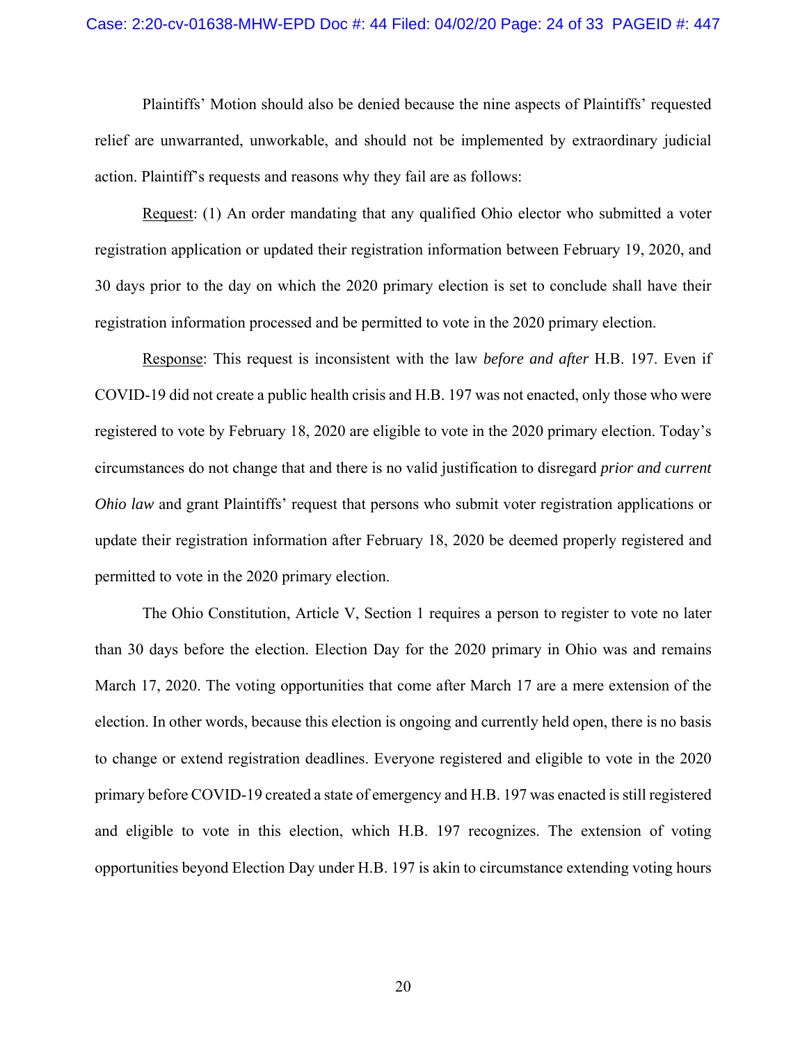#### Case: 2:20-cv-01638-MHW-EPD Doc #: 44 Filed: 04/02/20 Page: 24 of 33 PAGEID #: 447

 Plaintiffs' Motion should also be denied because the nine aspects of Plaintiffs' requested relief are unwarranted, unworkable, and should not be implemented by extraordinary judicial action. Plaintiff's requests and reasons why they fail are as follows:

 Request: (1) An order mandating that any qualified Ohio elector who submitted a voter registration application or updated their registration information between February 19, 2020, and 30 days prior to the day on which the 2020 primary election is set to conclude shall have their registration information processed and be permitted to vote in the 2020 primary election.

 Response: This request is inconsistent with the law *before and after* H.B. 197. Even if COVID-19 did not create a public health crisis and H.B. 197 was not enacted, only those who were registered to vote by February 18, 2020 are eligible to vote in the 2020 primary election. Today's circumstances do not change that and there is no valid justification to disregard *prior and current Ohio law* and grant Plaintiffs' request that persons who submit voter registration applications or update their registration information after February 18, 2020 be deemed properly registered and permitted to vote in the 2020 primary election.

 The Ohio Constitution, Article V, Section 1 requires a person to register to vote no later than 30 days before the election. Election Day for the 2020 primary in Ohio was and remains March 17, 2020. The voting opportunities that come after March 17 are a mere extension of the election. In other words, because this election is ongoing and currently held open, there is no basis to change or extend registration deadlines. Everyone registered and eligible to vote in the 2020 primary before COVID-19 created a state of emergency and H.B. 197 was enacted is still registered and eligible to vote in this election, which H.B. 197 recognizes. The extension of voting opportunities beyond Election Day under H.B. 197 is akin to circumstance extending voting hours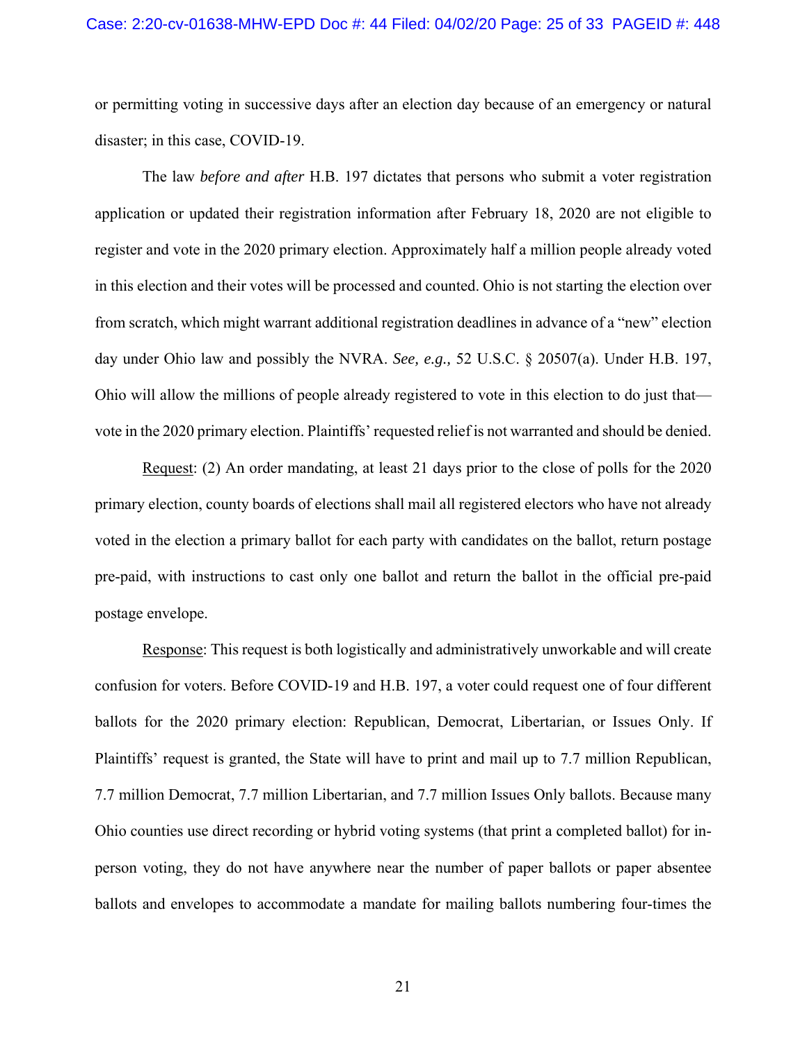#### Case: 2:20-cv-01638-MHW-EPD Doc #: 44 Filed: 04/02/20 Page: 25 of 33 PAGEID #: 448

or permitting voting in successive days after an election day because of an emergency or natural disaster; in this case, COVID-19.

 The law *before and after* H.B. 197 dictates that persons who submit a voter registration application or updated their registration information after February 18, 2020 are not eligible to register and vote in the 2020 primary election. Approximately half a million people already voted in this election and their votes will be processed and counted. Ohio is not starting the election over from scratch, which might warrant additional registration deadlines in advance of a "new" election day under Ohio law and possibly the NVRA. *See, e.g.,* 52 U.S.C. § 20507(a). Under H.B. 197, Ohio will allow the millions of people already registered to vote in this election to do just that vote in the 2020 primary election. Plaintiffs' requested relief is not warranted and should be denied.

 Request: (2) An order mandating, at least 21 days prior to the close of polls for the 2020 primary election, county boards of elections shall mail all registered electors who have not already voted in the election a primary ballot for each party with candidates on the ballot, return postage pre-paid, with instructions to cast only one ballot and return the ballot in the official pre-paid postage envelope.

 Response: This request is both logistically and administratively unworkable and will create confusion for voters. Before COVID-19 and H.B. 197, a voter could request one of four different ballots for the 2020 primary election: Republican, Democrat, Libertarian, or Issues Only. If Plaintiffs' request is granted, the State will have to print and mail up to 7.7 million Republican, 7.7 million Democrat, 7.7 million Libertarian, and 7.7 million Issues Only ballots. Because many Ohio counties use direct recording or hybrid voting systems (that print a completed ballot) for inperson voting, they do not have anywhere near the number of paper ballots or paper absentee ballots and envelopes to accommodate a mandate for mailing ballots numbering four-times the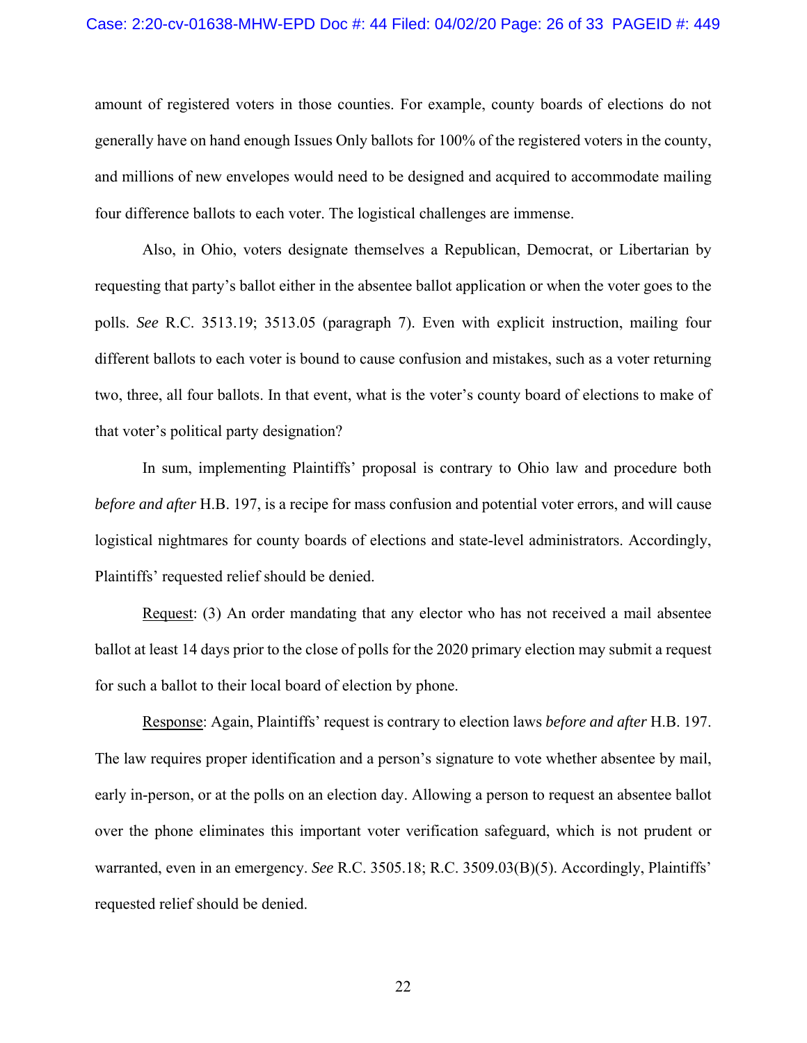#### Case: 2:20-cv-01638-MHW-EPD Doc #: 44 Filed: 04/02/20 Page: 26 of 33 PAGEID #: 449

amount of registered voters in those counties. For example, county boards of elections do not generally have on hand enough Issues Only ballots for 100% of the registered voters in the county, and millions of new envelopes would need to be designed and acquired to accommodate mailing four difference ballots to each voter. The logistical challenges are immense.

 Also, in Ohio, voters designate themselves a Republican, Democrat, or Libertarian by requesting that party's ballot either in the absentee ballot application or when the voter goes to the polls. *See* R.C. 3513.19; 3513.05 (paragraph 7). Even with explicit instruction, mailing four different ballots to each voter is bound to cause confusion and mistakes, such as a voter returning two, three, all four ballots. In that event, what is the voter's county board of elections to make of that voter's political party designation?

 In sum, implementing Plaintiffs' proposal is contrary to Ohio law and procedure both *before and after* H.B. 197, is a recipe for mass confusion and potential voter errors, and will cause logistical nightmares for county boards of elections and state-level administrators. Accordingly, Plaintiffs' requested relief should be denied.

Request: (3) An order mandating that any elector who has not received a mail absentee ballot at least 14 days prior to the close of polls for the 2020 primary election may submit a request for such a ballot to their local board of election by phone.

 Response: Again, Plaintiffs' request is contrary to election laws *before and after* H.B. 197. The law requires proper identification and a person's signature to vote whether absentee by mail, early in-person, or at the polls on an election day. Allowing a person to request an absentee ballot over the phone eliminates this important voter verification safeguard, which is not prudent or warranted, even in an emergency. *See* R.C. 3505.18; R.C. 3509.03(B)(5). Accordingly, Plaintiffs' requested relief should be denied.

22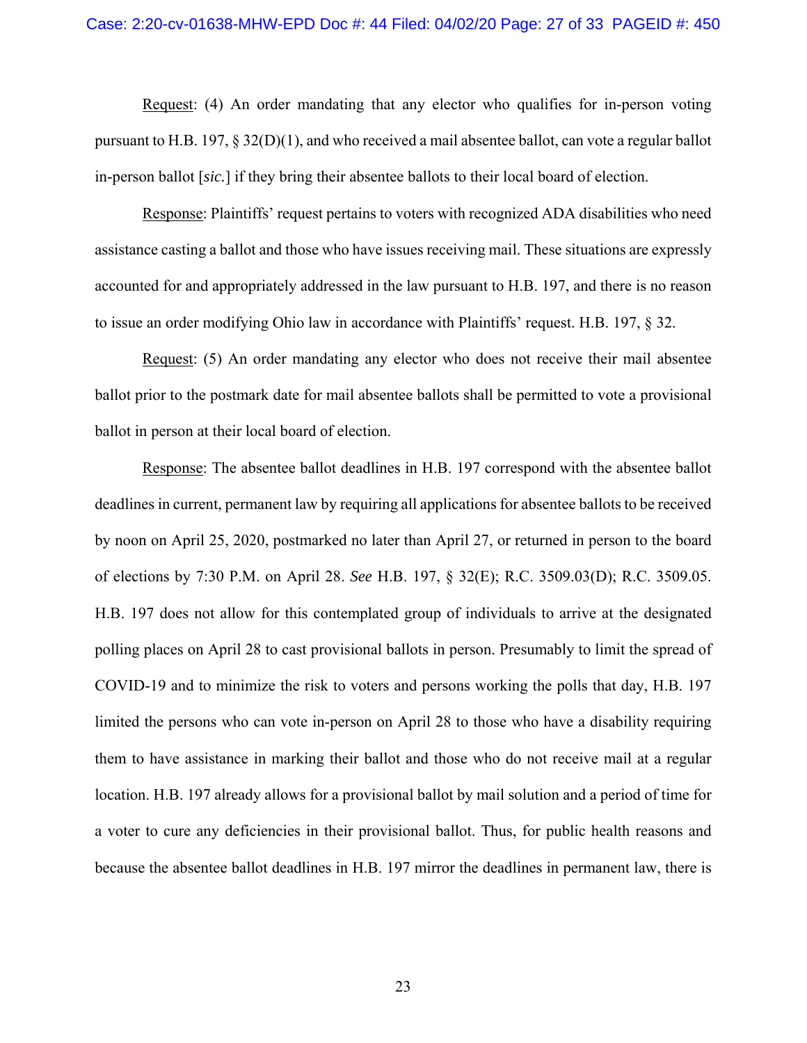Request: (4) An order mandating that any elector who qualifies for in-person voting pursuant to H.B. 197,  $\S 32(D)(1)$ , and who received a mail absentee ballot, can vote a regular ballot in-person ballot [*sic.*] if they bring their absentee ballots to their local board of election.

 Response: Plaintiffs' request pertains to voters with recognized ADA disabilities who need assistance casting a ballot and those who have issues receiving mail. These situations are expressly accounted for and appropriately addressed in the law pursuant to H.B. 197, and there is no reason to issue an order modifying Ohio law in accordance with Plaintiffs' request. H.B. 197, § 32.

 Request: (5) An order mandating any elector who does not receive their mail absentee ballot prior to the postmark date for mail absentee ballots shall be permitted to vote a provisional ballot in person at their local board of election.

 Response: The absentee ballot deadlines in H.B. 197 correspond with the absentee ballot deadlines in current, permanent law by requiring all applications for absentee ballots to be received by noon on April 25, 2020, postmarked no later than April 27, or returned in person to the board of elections by 7:30 P.M. on April 28. *See* H.B. 197, § 32(E); R.C. 3509.03(D); R.C. 3509.05. H.B. 197 does not allow for this contemplated group of individuals to arrive at the designated polling places on April 28 to cast provisional ballots in person. Presumably to limit the spread of COVID-19 and to minimize the risk to voters and persons working the polls that day, H.B. 197 limited the persons who can vote in-person on April 28 to those who have a disability requiring them to have assistance in marking their ballot and those who do not receive mail at a regular location. H.B. 197 already allows for a provisional ballot by mail solution and a period of time for a voter to cure any deficiencies in their provisional ballot. Thus, for public health reasons and because the absentee ballot deadlines in H.B. 197 mirror the deadlines in permanent law, there is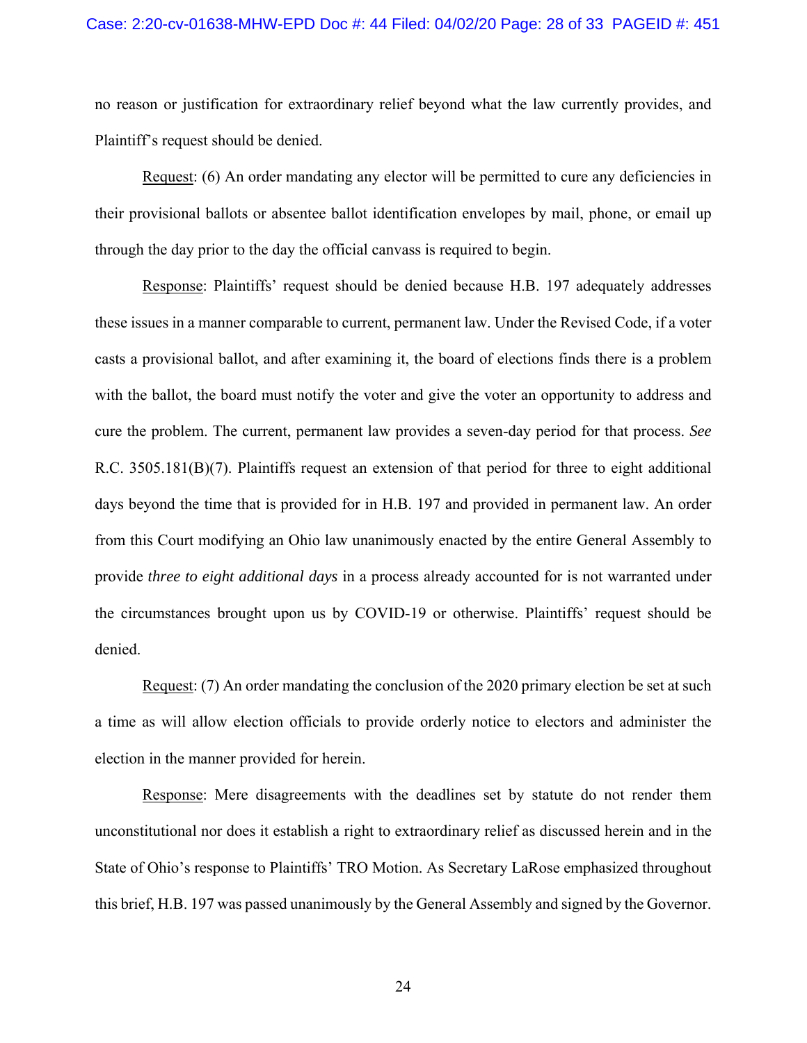#### Case: 2:20-cv-01638-MHW-EPD Doc #: 44 Filed: 04/02/20 Page: 28 of 33 PAGEID #: 451

no reason or justification for extraordinary relief beyond what the law currently provides, and Plaintiff's request should be denied.

 Request: (6) An order mandating any elector will be permitted to cure any deficiencies in their provisional ballots or absentee ballot identification envelopes by mail, phone, or email up through the day prior to the day the official canvass is required to begin.

 Response: Plaintiffs' request should be denied because H.B. 197 adequately addresses these issues in a manner comparable to current, permanent law. Under the Revised Code, if a voter casts a provisional ballot, and after examining it, the board of elections finds there is a problem with the ballot, the board must notify the voter and give the voter an opportunity to address and cure the problem. The current, permanent law provides a seven-day period for that process. *See*  R.C. 3505.181(B)(7). Plaintiffs request an extension of that period for three to eight additional days beyond the time that is provided for in H.B. 197 and provided in permanent law. An order from this Court modifying an Ohio law unanimously enacted by the entire General Assembly to provide *three to eight additional days* in a process already accounted for is not warranted under the circumstances brought upon us by COVID-19 or otherwise. Plaintiffs' request should be denied.

 Request: (7) An order mandating the conclusion of the 2020 primary election be set at such a time as will allow election officials to provide orderly notice to electors and administer the election in the manner provided for herein.

Response: Mere disagreements with the deadlines set by statute do not render them unconstitutional nor does it establish a right to extraordinary relief as discussed herein and in the State of Ohio's response to Plaintiffs' TRO Motion. As Secretary LaRose emphasized throughout this brief, H.B. 197 was passed unanimously by the General Assembly and signed by the Governor.

24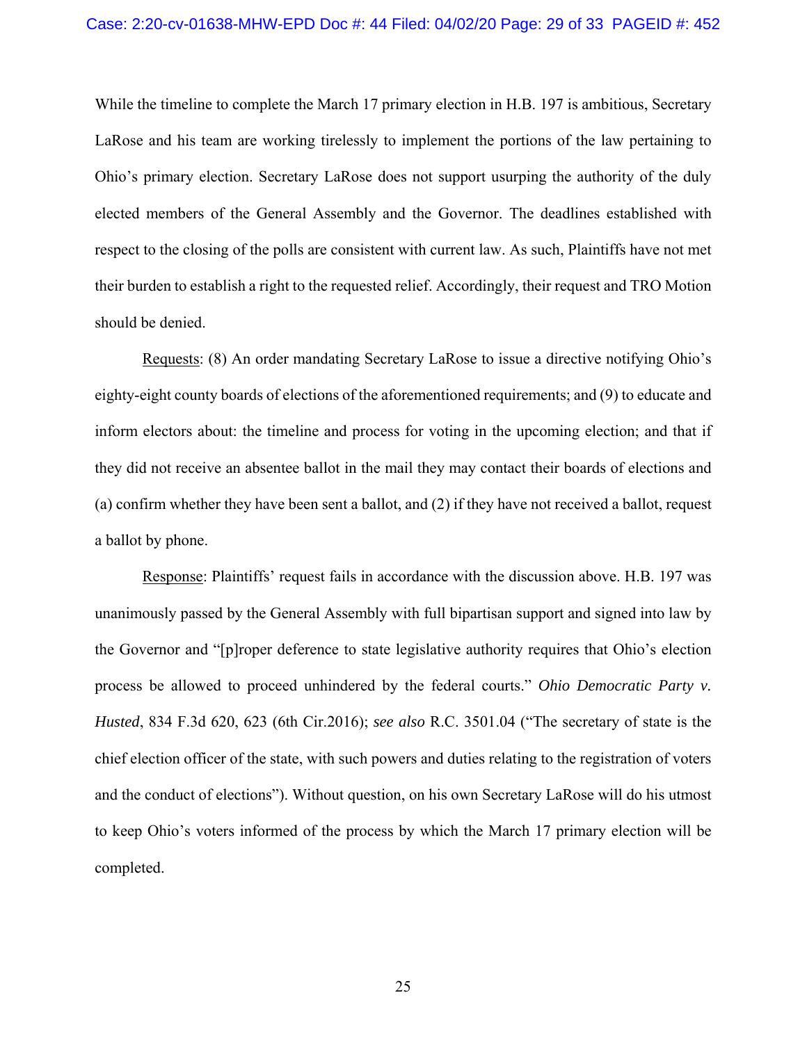While the timeline to complete the March 17 primary election in H.B. 197 is ambitious, Secretary LaRose and his team are working tirelessly to implement the portions of the law pertaining to Ohio's primary election. Secretary LaRose does not support usurping the authority of the duly elected members of the General Assembly and the Governor. The deadlines established with respect to the closing of the polls are consistent with current law. As such, Plaintiffs have not met their burden to establish a right to the requested relief. Accordingly, their request and TRO Motion should be denied.

 Requests: (8) An order mandating Secretary LaRose to issue a directive notifying Ohio's eighty-eight county boards of elections of the aforementioned requirements; and (9) to educate and inform electors about: the timeline and process for voting in the upcoming election; and that if they did not receive an absentee ballot in the mail they may contact their boards of elections and (a) confirm whether they have been sent a ballot, and (2) if they have not received a ballot, request a ballot by phone.

 Response: Plaintiffs' request fails in accordance with the discussion above. H.B. 197 was unanimously passed by the General Assembly with full bipartisan support and signed into law by the Governor and "[p]roper deference to state legislative authority requires that Ohio's election process be allowed to proceed unhindered by the federal courts." *Ohio Democratic Party v. Husted*, 834 F.3d 620, 623 (6th Cir.2016); *see also* R.C. 3501.04 ("The secretary of state is the chief election officer of the state, with such powers and duties relating to the registration of voters and the conduct of elections"). Without question, on his own Secretary LaRose will do his utmost to keep Ohio's voters informed of the process by which the March 17 primary election will be completed.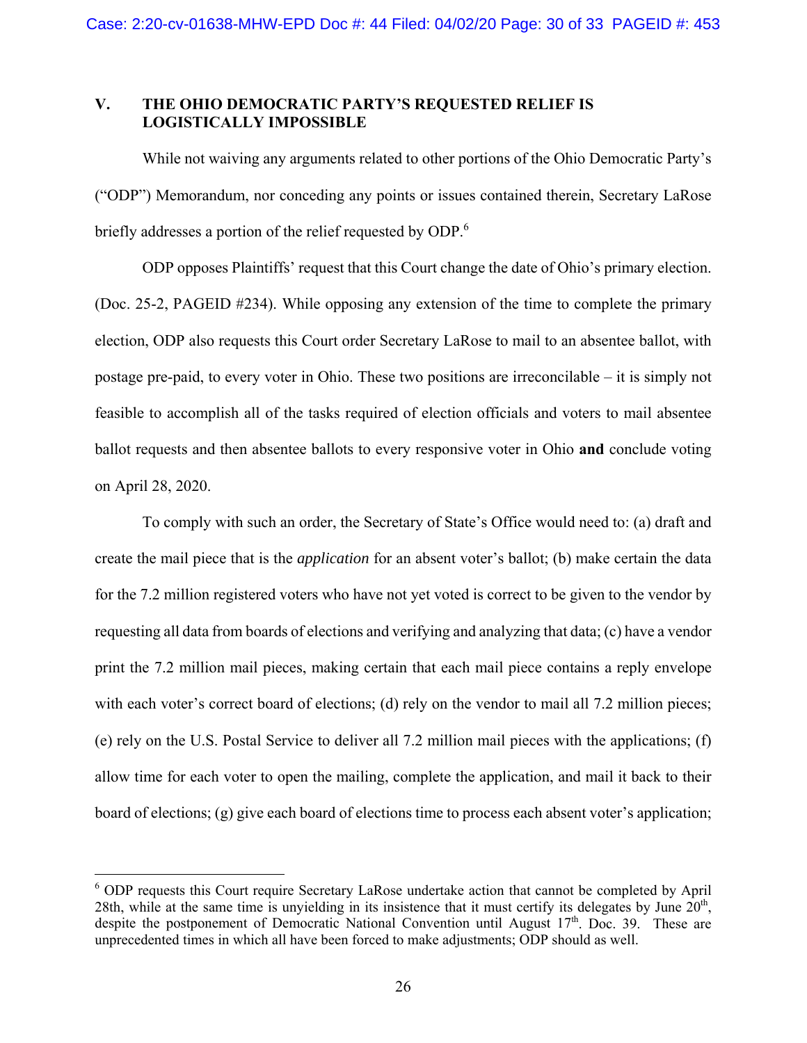### **V. THE OHIO DEMOCRATIC PARTY'S REQUESTED RELIEF IS LOGISTICALLY IMPOSSIBLE**

 While not waiving any arguments related to other portions of the Ohio Democratic Party's ("ODP") Memorandum, nor conceding any points or issues contained therein, Secretary LaRose briefly addresses a portion of the relief requested by ODP.<sup>6</sup>

 ODP opposes Plaintiffs' request that this Court change the date of Ohio's primary election. (Doc. 25-2, PAGEID #234). While opposing any extension of the time to complete the primary election, ODP also requests this Court order Secretary LaRose to mail to an absentee ballot, with postage pre-paid, to every voter in Ohio. These two positions are irreconcilable – it is simply not feasible to accomplish all of the tasks required of election officials and voters to mail absentee ballot requests and then absentee ballots to every responsive voter in Ohio **and** conclude voting on April 28, 2020.

 To comply with such an order, the Secretary of State's Office would need to: (a) draft and create the mail piece that is the *application* for an absent voter's ballot; (b) make certain the data for the 7.2 million registered voters who have not yet voted is correct to be given to the vendor by requesting all data from boards of elections and verifying and analyzing that data; (c) have a vendor print the 7.2 million mail pieces, making certain that each mail piece contains a reply envelope with each voter's correct board of elections; (d) rely on the vendor to mail all 7.2 million pieces; (e) rely on the U.S. Postal Service to deliver all 7.2 million mail pieces with the applications; (f) allow time for each voter to open the mailing, complete the application, and mail it back to their board of elections; (g) give each board of elections time to process each absent voter's application;

 $\overline{a}$ 

<sup>&</sup>lt;sup>6</sup> ODP requests this Court require Secretary LaRose undertake action that cannot be completed by April 28th, while at the same time is unvielding in its insistence that it must certify its delegates by June  $20<sup>th</sup>$ , despite the postponement of Democratic National Convention until August  $17<sup>th</sup>$ . Doc. 39. These are unprecedented times in which all have been forced to make adjustments; ODP should as well.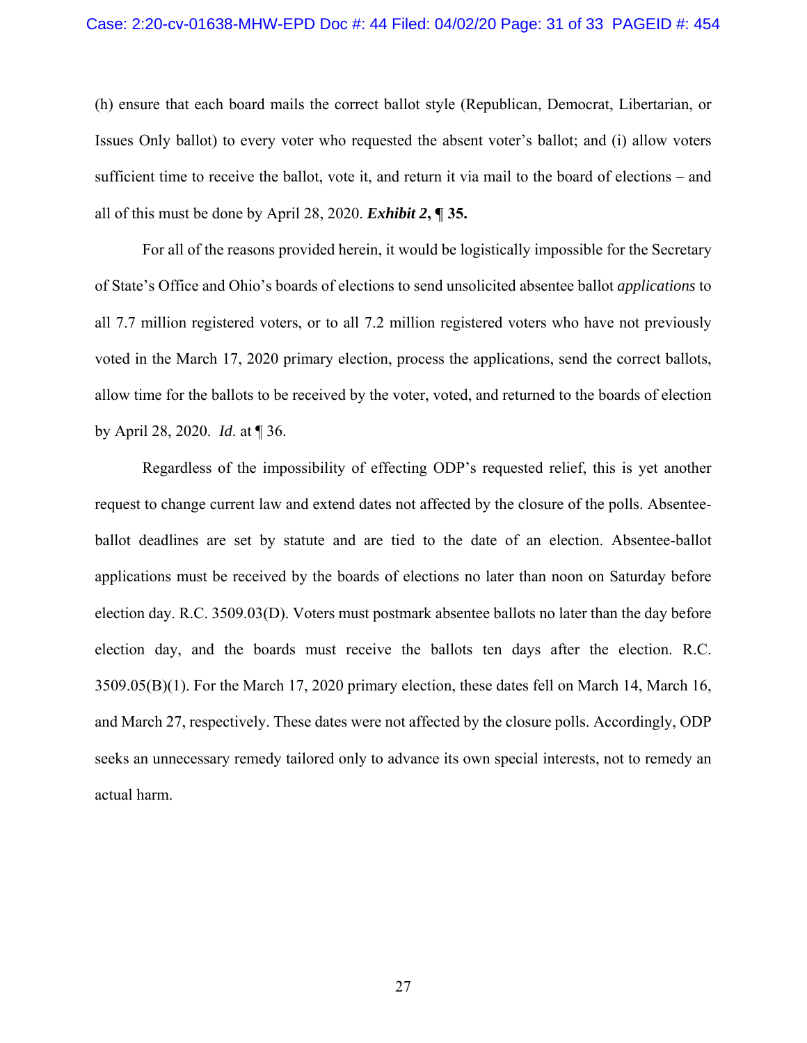(h) ensure that each board mails the correct ballot style (Republican, Democrat, Libertarian, or Issues Only ballot) to every voter who requested the absent voter's ballot; and (i) allow voters sufficient time to receive the ballot, vote it, and return it via mail to the board of elections – and all of this must be done by April 28, 2020. *Exhibit 2***, ¶ 35.**

 For all of the reasons provided herein, it would be logistically impossible for the Secretary of State's Office and Ohio's boards of elections to send unsolicited absentee ballot *applications* to all 7.7 million registered voters, or to all 7.2 million registered voters who have not previously voted in the March 17, 2020 primary election, process the applications, send the correct ballots, allow time for the ballots to be received by the voter, voted, and returned to the boards of election by April 28, 2020. *Id*. at ¶ 36.

 Regardless of the impossibility of effecting ODP's requested relief, this is yet another request to change current law and extend dates not affected by the closure of the polls. Absenteeballot deadlines are set by statute and are tied to the date of an election. Absentee-ballot applications must be received by the boards of elections no later than noon on Saturday before election day. R.C. 3509.03(D). Voters must postmark absentee ballots no later than the day before election day, and the boards must receive the ballots ten days after the election. R.C. 3509.05(B)(1). For the March 17, 2020 primary election, these dates fell on March 14, March 16, and March 27, respectively. These dates were not affected by the closure polls. Accordingly, ODP seeks an unnecessary remedy tailored only to advance its own special interests, not to remedy an actual harm.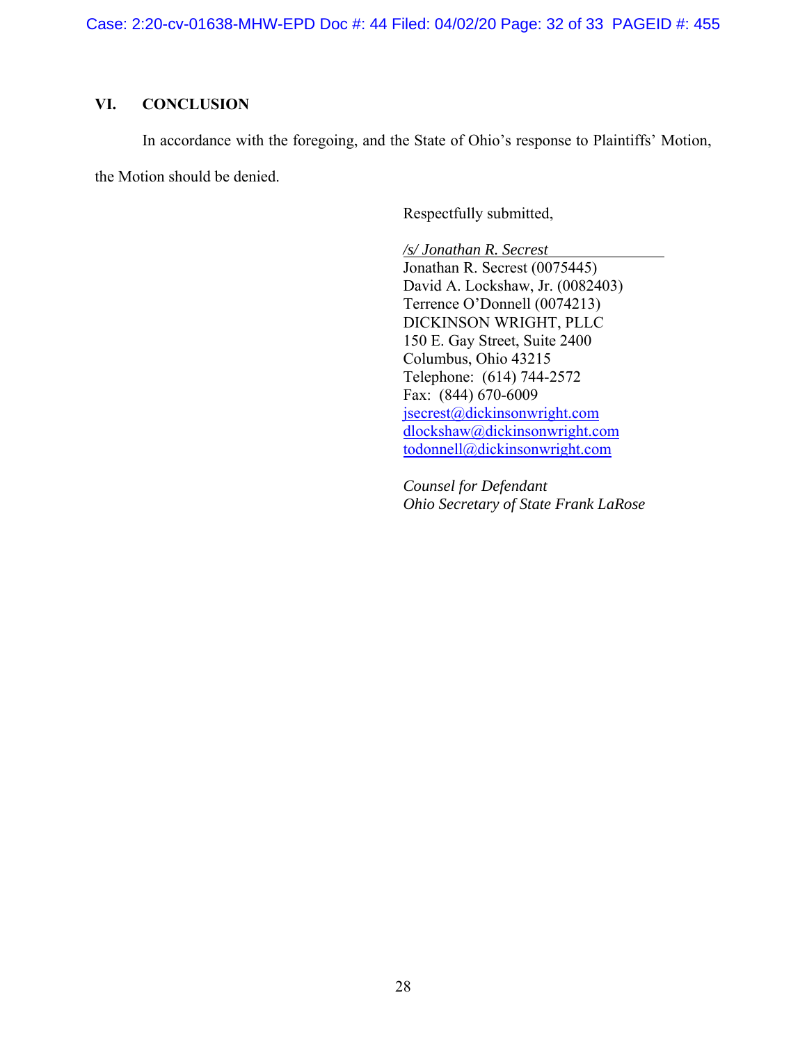Case: 2:20-cv-01638-MHW-EPD Doc #: 44 Filed: 04/02/20 Page: 32 of 33 PAGEID #: 455

### **VI. CONCLUSION**

 In accordance with the foregoing, and the State of Ohio's response to Plaintiffs' Motion, the Motion should be denied.

Respectfully submitted,

*/s/ Jonathan R. Secrest* 

Jonathan R. Secrest (0075445) David A. Lockshaw, Jr. (0082403) Terrence O'Donnell (0074213) DICKINSON WRIGHT, PLLC 150 E. Gay Street, Suite 2400 Columbus, Ohio 43215 Telephone: (614) 744-2572 Fax: (844) 670-6009 jsecrest@dickinsonwright.com dlockshaw@dickinsonwright.com todonnell@dickinsonwright.com

*Counsel for Defendant Ohio Secretary of State Frank LaRose*